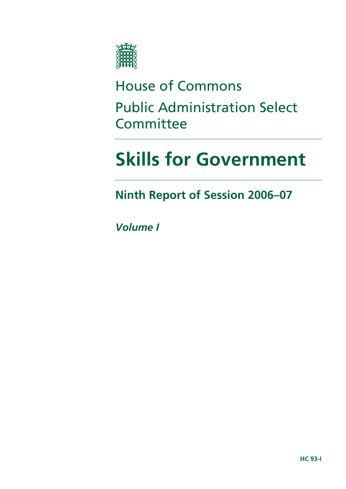

# House of Commons Public Administration Select **Committee**

# **Skills for Government**

**Ninth Report of Session 2006–07** 

*Volume I*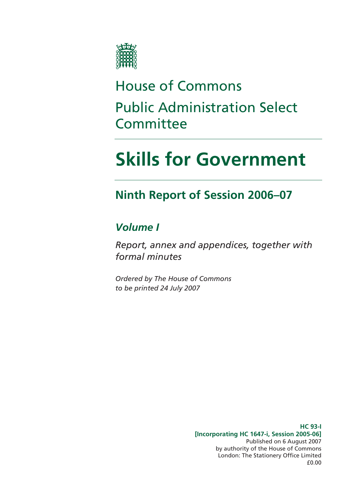

# House of Commons Public Administration Select **Committee**

# **Skills for Government**

### **Ninth Report of Session 2006–07**

### *Volume I*

*Report, annex and appendices, together with formal minutes* 

*Ordered by The House of Commons to be printed 24 July 2007* 

> **HC 93-I [Incorporating HC 1647-i, Session 2005-06]**  Published on 6 August 2007 by authority of the House of Commons London: The Stationery Office Limited £0.00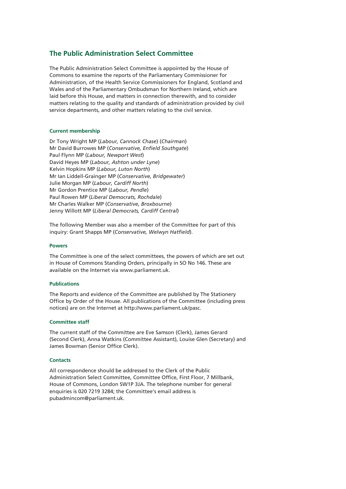#### **The Public Administration Select Committee**

The Public Administration Select Committee is appointed by the House of Commons to examine the reports of the Parliamentary Commissioner for Administration, of the Health Service Commissioners for England, Scotland and Wales and of the Parliamentary Ombudsman for Northern Ireland, which are laid before this House, and matters in connection therewith, and to consider matters relating to the quality and standards of administration provided by civil service departments, and other matters relating to the civil service.

#### **Current membership**

Dr Tony Wright MP (*Labour, Cannock Chase*) (*Chairman*) Mr David Burrowes MP (*Conservative, Enfield Southgate*) Paul Flynn MP (*Labour, Newport West*) David Heyes MP (*Labour, Ashton under Lyne*) Kelvin Hopkins MP (*Labour, Luton North*) Mr Ian Liddell-Grainger MP (*Conservative, Bridgewater*) Julie Morgan MP (*Labour, Cardiff North*) Mr Gordon Prentice MP (*Labour, Pendle*) Paul Rowen MP (*Liberal Democrats, Rochdale*) Mr Charles Walker MP (*Conservative, Broxbourne*) Jenny Willott MP (*Liberal Democrats, Cardiff Central*)

The following Member was also a member of the Committee for part of this inquiry: Grant Shapps MP (*Conservative, Welwyn Hatfield*).

#### **Powers**

The Committee is one of the select committees, the powers of which are set out in House of Commons Standing Orders, principally in SO No 146. These are available on the Internet via www.parliament.uk.

#### **Publications**

The Reports and evidence of the Committee are published by The Stationery Office by Order of the House. All publications of the Committee (including press notices) are on the Internet at http://www.parliament.uk/pasc.

#### **Committee staff**

The current staff of the Committee are Eve Samson (Clerk), James Gerard (Second Clerk), Anna Watkins (Committee Assistant), Louise Glen (Secretary) and James Bowman (Senior Office Clerk).

#### **Contacts**

All correspondence should be addressed to the Clerk of the Public Administration Select Committee, Committee Office, First Floor, 7 Millbank, House of Commons, London SW1P 3JA. The telephone number for general enquiries is 020 7219 3284; the Committee's email address is pubadmincom@parliament.uk.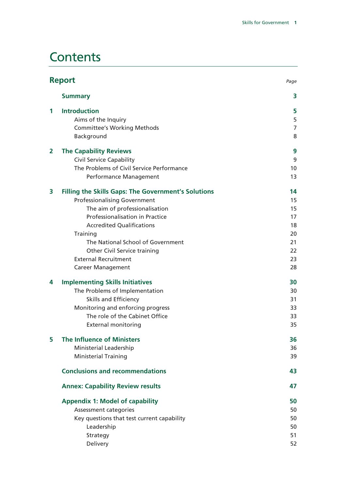### **Contents**

|                | <b>Report</b><br>Page                                              |                |
|----------------|--------------------------------------------------------------------|----------------|
|                | <b>Summary</b>                                                     | 3              |
| 1              | <b>Introduction</b>                                                | 5              |
|                | Aims of the Inquiry                                                | 5              |
|                | <b>Committee's Working Methods</b>                                 | $\overline{7}$ |
|                | Background                                                         | 8              |
| $\overline{2}$ | <b>The Capability Reviews</b>                                      | 9              |
|                | <b>Civil Service Capability</b>                                    | 9              |
|                | The Problems of Civil Service Performance                          | 10             |
|                | Performance Management                                             | 13             |
| 3              | <b>Filling the Skills Gaps: The Government's Solutions</b>         | 14             |
|                | <b>Professionalising Government</b>                                | 15             |
|                | The aim of professionalisation                                     | 15             |
|                | Professionalisation in Practice                                    | 17             |
|                | <b>Accredited Qualifications</b>                                   | 18             |
|                | Training                                                           | 20             |
|                | The National School of Government                                  | 21             |
|                | <b>Other Civil Service training</b><br><b>External Recruitment</b> | 22             |
|                |                                                                    | 23             |
|                | <b>Career Management</b>                                           | 28             |
| 4              | <b>Implementing Skills Initiatives</b>                             | 30             |
|                | The Problems of Implementation                                     | 30             |
|                | <b>Skills and Efficiency</b>                                       | 31             |
|                | Monitoring and enforcing progress                                  | 33             |
|                | The role of the Cabinet Office                                     | 33             |
|                | <b>External monitoring</b>                                         | 35             |
| 5              | The Influence of Ministers                                         | 36             |
|                | Ministerial Leadership                                             | 36             |
|                | <b>Ministerial Training</b>                                        | 39             |
|                | <b>Conclusions and recommendations</b>                             | 43             |
|                | <b>Annex: Capability Review results</b>                            | 47             |
|                | <b>Appendix 1: Model of capability</b>                             | 50             |
|                | Assessment categories                                              | 50             |
|                | Key questions that test current capability                         | 50             |
|                | Leadership                                                         | 50             |
|                | Strategy                                                           | 51             |
|                | Delivery                                                           | 52             |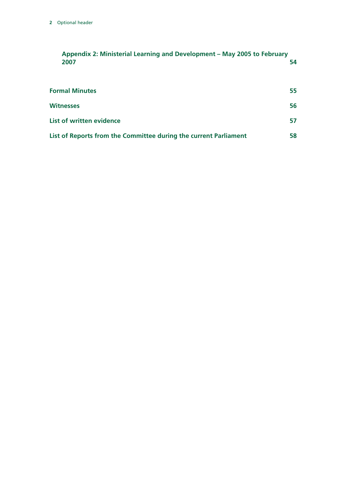| Appendix 2: Ministerial Learning and Development – May 2005 to February |    |
|-------------------------------------------------------------------------|----|
| 2007                                                                    | 54 |

| <b>Formal Minutes</b>                                            | 55 |
|------------------------------------------------------------------|----|
| <b>Witnesses</b>                                                 | 56 |
| List of written evidence                                         | 57 |
| List of Reports from the Committee during the current Parliament | 58 |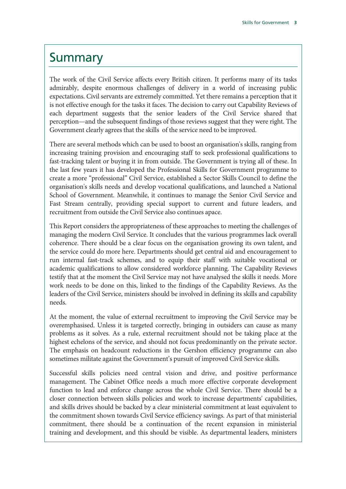### **Summary**

The work of the Civil Service affects every British citizen. It performs many of its tasks admirably, despite enormous challenges of delivery in a world of increasing public expectations. Civil servants are extremely committed. Yet there remains a perception that it is not effective enough for the tasks it faces. The decision to carry out Capability Reviews of each department suggests that the senior leaders of the Civil Service shared that perception—and the subsequent findings of those reviews suggest that they were right. The Government clearly agrees that the skills of the service need to be improved.

There are several methods which can be used to boost an organisation's skills, ranging from increasing training provision and encouraging staff to seek professional qualifications to fast-tracking talent or buying it in from outside. The Government is trying all of these. In the last few years it has developed the Professional Skills for Government programme to create a more "professional" Civil Service, established a Sector Skills Council to define the organisation's skills needs and develop vocational qualifications, and launched a National School of Government. Meanwhile, it continues to manage the Senior Civil Service and Fast Stream centrally, providing special support to current and future leaders, and recruitment from outside the Civil Service also continues apace.

This Report considers the appropriateness of these approaches to meeting the challenges of managing the modern Civil Service. It concludes that the various programmes lack overall coherence. There should be a clear focus on the organisation growing its own talent, and the service could do more here. Departments should get central aid and encouragement to run internal fast-track schemes, and to equip their staff with suitable vocational or academic qualifications to allow considered workforce planning. The Capability Reviews testify that at the moment the Civil Service may not have analysed the skills it needs. More work needs to be done on this, linked to the findings of the Capability Reviews. As the leaders of the Civil Service, ministers should be involved in defining its skills and capability needs.

At the moment, the value of external recruitment to improving the Civil Service may be overemphasised. Unless it is targeted correctly, bringing in outsiders can cause as many problems as it solves. As a rule, external recruitment should not be taking place at the highest echelons of the service, and should not focus predominantly on the private sector. The emphasis on headcount reductions in the Gershon efficiency programme can also sometimes militate against the Government's pursuit of improved Civil Service skills.

Successful skills policies need central vision and drive, and positive performance management. The Cabinet Office needs a much more effective corporate development function to lead and enforce change across the whole Civil Service. There should be a closer connection between skills policies and work to increase departments' capabilities, and skills drives should be backed by a clear ministerial commitment at least equivalent to the commitment shown towards Civil Service efficiency savings. As part of that ministerial commitment, there should be a continuation of the recent expansion in ministerial training and development, and this should be visible. As departmental leaders, ministers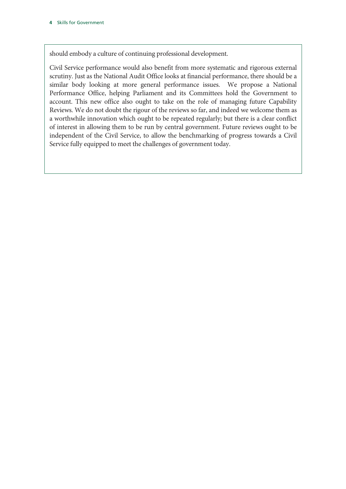should embody a culture of continuing professional development.

Civil Service performance would also benefit from more systematic and rigorous external scrutiny. Just as the National Audit Office looks at financial performance, there should be a similar body looking at more general performance issues. We propose a National Performance Office, helping Parliament and its Committees hold the Government to account. This new office also ought to take on the role of managing future Capability Reviews. We do not doubt the rigour of the reviews so far, and indeed we welcome them as a worthwhile innovation which ought to be repeated regularly; but there is a clear conflict of interest in allowing them to be run by central government. Future reviews ought to be independent of the Civil Service, to allow the benchmarking of progress towards a Civil Service fully equipped to meet the challenges of government today.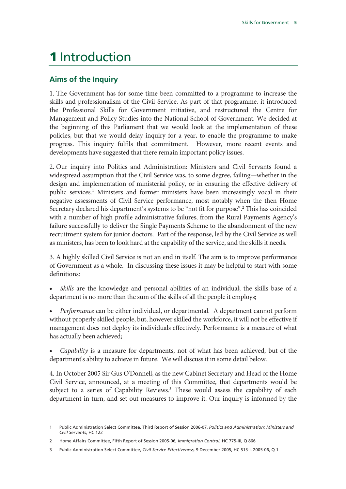## 1 Introduction

#### **Aims of the Inquiry**

1. The Government has for some time been committed to a programme to increase the skills and professionalism of the Civil Service. As part of that programme, it introduced the Professional Skills for Government initiative, and restructured the Centre for Management and Policy Studies into the National School of Government. We decided at the beginning of this Parliament that we would look at the implementation of these policies, but that we would delay inquiry for a year, to enable the programme to make progress. This inquiry fulfils that commitment. However, more recent events and developments have suggested that there remain important policy issues.

2. Our inquiry into Politics and Administration: Ministers and Civil Servants found a widespread assumption that the Civil Service was, to some degree, failing—whether in the design and implementation of ministerial policy, or in ensuring the effective delivery of public services.<sup>1</sup> Ministers and former ministers have been increasingly vocal in their negative assessments of Civil Service performance, most notably when the then Home Secretary declared his department's systems to be "not fit for purpose".<sup>2</sup> This has coincided with a number of high profile administrative failures, from the Rural Payments Agency's failure successfully to deliver the Single Payments Scheme to the abandonment of the new recruitment system for junior doctors. Part of the response, led by the Civil Service as well as ministers, has been to look hard at the capability of the service, and the skills it needs.

3. A highly skilled Civil Service is not an end in itself. The aim is to improve performance of Government as a whole. In discussing these issues it may be helpful to start with some definitions:

• *Skills* are the knowledge and personal abilities of an individual; the skills base of a department is no more than the sum of the skills of all the people it employs;

• *Performance* can be either individual, or departmental. A department cannot perform without properly skilled people, but, however skilled the workforce, it will not be effective if management does not deploy its individuals effectively. Performance is a measure of what has actually been achieved;

• *Capability* is a measure for departments, not of what has been achieved, but of the department's ability to achieve in future. We will discuss it in some detail below.

4. In October 2005 Sir Gus O'Donnell, as the new Cabinet Secretary and Head of the Home Civil Service, announced, at a meeting of this Committee, that departments would be subject to a series of Capability Reviews.<sup>3</sup> These would assess the capability of each department in turn, and set out measures to improve it. Our inquiry is informed by the

<sup>1</sup> Public Administration Select Committee, Third Report of Session 2006-07, *Politics and Administration: Ministers and Civil Servants*, HC 122

<sup>2</sup> Home Affairs Committee, Fifth Report of Session 2005-06, *Immigration Control*, HC 775-iii, Q 866

<sup>3</sup> Public Administration Select Committee, *Civil Service Effectiveness*, 9 December 2005, HC 513-i, 2005-06, Q 1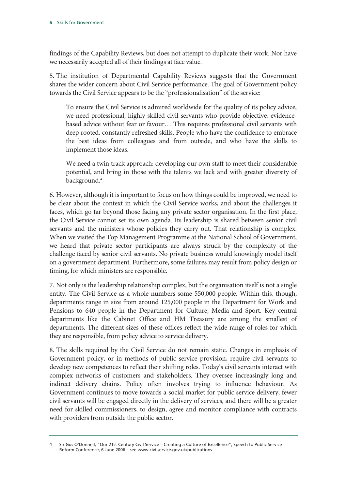findings of the Capability Reviews, but does not attempt to duplicate their work. Nor have we necessarily accepted all of their findings at face value.

5. The institution of Departmental Capability Reviews suggests that the Government shares the wider concern about Civil Service performance. The goal of Government policy towards the Civil Service appears to be the "professionalisation" of the service:

To ensure the Civil Service is admired worldwide for the quality of its policy advice, we need professional, highly skilled civil servants who provide objective, evidencebased advice without fear or favour… This requires professional civil servants with deep rooted, constantly refreshed skills. People who have the confidence to embrace the best ideas from colleagues and from outside, and who have the skills to implement those ideas.

We need a twin track approach: developing our own staff to meet their considerable potential, and bring in those with the talents we lack and with greater diversity of background.4

6. However, although it is important to focus on how things could be improved, we need to be clear about the context in which the Civil Service works, and about the challenges it faces, which go far beyond those facing any private sector organisation. In the first place, the Civil Service cannot set its own agenda. Its leadership is shared between senior civil servants and the ministers whose policies they carry out. That relationship is complex. When we visited the Top Management Programme at the National School of Government, we heard that private sector participants are always struck by the complexity of the challenge faced by senior civil servants. No private business would knowingly model itself on a government department. Furthermore, some failures may result from policy design or timing, for which ministers are responsible.

7. Not only is the leadership relationship complex, but the organisation itself is not a single entity. The Civil Service as a whole numbers some 550,000 people. Within this, though, departments range in size from around 125,000 people in the Department for Work and Pensions to 640 people in the Department for Culture, Media and Sport. Key central departments like the Cabinet Office and HM Treasury are among the smallest of departments. The different sizes of these offices reflect the wide range of roles for which they are responsible, from policy advice to service delivery.

8. The skills required by the Civil Service do not remain static. Changes in emphasis of Government policy, or in methods of public service provision, require civil servants to develop new competences to reflect their shifting roles. Today's civil servants interact with complex networks of customers and stakeholders. They oversee increasingly long and indirect delivery chains. Policy often involves trying to influence behaviour. As Government continues to move towards a social market for public service delivery, fewer civil servants will be engaged directly in the delivery of services, and there will be a greater need for skilled commissioners, to design, agree and monitor compliance with contracts with providers from outside the public sector.

<sup>4</sup> Sir Gus O'Donnell, "Our 21st Century Civil Service – Creating a Culture of Excellence", Speech to Public Service Reform Conference, 6 June 2006 – see www.civilservice.gov.uk/publications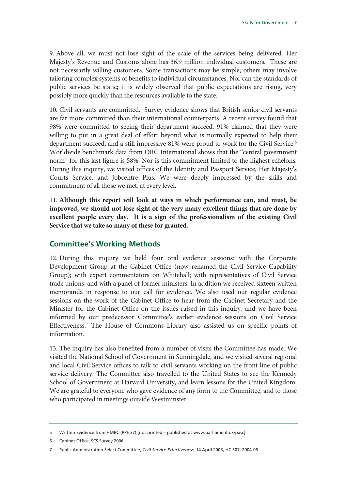9. Above all, we must not lose sight of the scale of the services being delivered. Her Majesty's Revenue and Customs alone has 36.9 million individual customers.<sup>5</sup> These are not necessarily willing customers. Some transactions may be simple; others may involve tailoring complex systems of benefits to individual circumstances. Nor can the standards of public services be static; it is widely observed that public expectations are rising, very possibly more quickly than the resources available to the state.

10. Civil servants are committed. Survey evidence shows that British senior civil servants are far more committed than their international counterparts. A recent survey found that 98% were committed to seeing their department succeed. 91% claimed that they were willing to put in a great deal of effort beyond what is normally expected to help their department succeed, and a still impressive 81% were proud to work for the Civil Service.<sup>6</sup> Worldwide benchmark data from ORC International shows that the "central government norm" for this last figure is 58%. Nor is this commitment limited to the highest echelons. During this inquiry, we visited offices of the Identity and Passport Service, Her Majesty's Courts Service, and Jobcentre Plus. We were deeply impressed by the skills and commitment of all those we met, at every level.

11. **Although this report will look at ways in which performance can, and must, be improved, we should not lose sight of the very many excellent things that are done by excellent people every day. It is a sign of the professionalism of the existing Civil Service that we take so many of these for granted.**

#### **Committee's Working Methods**

12. During this inquiry we held four oral evidence sessions: with the Corporate Development Group at the Cabinet Office (now renamed the Civil Service Capability Group); with expert commentators on Whitehall; with representatives of Civil Service trade unions; and with a panel of former ministers. In addition we received sixteen written memoranda in response to our call for evidence. We also used our regular evidence sessions on the work of the Cabinet Office to hear from the Cabinet Secretary and the Minister for the Cabinet Office on the issues raised in this inquiry, and we have been informed by our predecessor Committee's earlier evidence sessions on Civil Service Effectiveness.<sup>7</sup> The House of Commons Library also assisted us on specific points of information.

13. The inquiry has also benefited from a number of visits the Committee has made. We visited the National School of Government in Sunningdale, and we visited several regional and local Civil Service offices to talk to civil servants working on the front line of public service delivery. The Committee also travelled to the United States to see the Kennedy School of Government at Harvard University, and learn lessons for the United Kingdom. We are grateful to everyone who gave evidence of any form to the Committee, and to those who participated in meetings outside Westminster.

<sup>5</sup> Written Evidence from HMRC (PPF 37) [not printed – published at www.parliament.uk/pasc]

<sup>6</sup> Cabinet Office, SCS Survey 2006

<sup>7</sup> Public Administration Select Committee, *Civil Service Effectiveness*, 14 April 2005, HC 307, 2004-05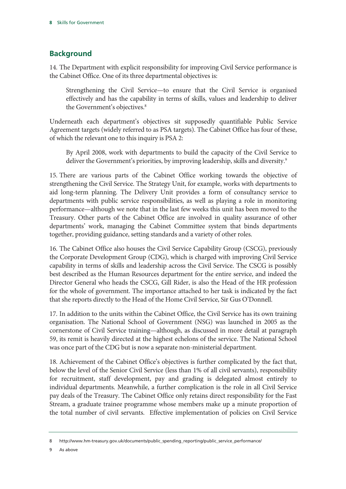#### **Background**

14. The Department with explicit responsibility for improving Civil Service performance is the Cabinet Office. One of its three departmental objectives is:

Strengthening the Civil Service—to ensure that the Civil Service is organised effectively and has the capability in terms of skills, values and leadership to deliver the Government's objectives.<sup>8</sup>

Underneath each department's objectives sit supposedly quantifiable Public Service Agreement targets (widely referred to as PSA targets). The Cabinet Office has four of these, of which the relevant one to this inquiry is PSA 2:

By April 2008, work with departments to build the capacity of the Civil Service to deliver the Government's priorities, by improving leadership, skills and diversity.<sup>9</sup>

15. There are various parts of the Cabinet Office working towards the objective of strengthening the Civil Service. The Strategy Unit, for example, works with departments to aid long-term planning. The Delivery Unit provides a form of consultancy service to departments with public service responsibilities, as well as playing a role in monitoring performance—although we note that in the last few weeks this unit has been moved to the Treasury. Other parts of the Cabinet Office are involved in quality assurance of other departments' work, managing the Cabinet Committee system that binds departments together, providing guidance, setting standards and a variety of other roles.

16. The Cabinet Office also houses the Civil Service Capability Group (CSCG), previously the Corporate Development Group (CDG), which is charged with improving Civil Service capability in terms of skills and leadership across the Civil Service. The CSCG is possibly best described as the Human Resources department for the entire service, and indeed the Director General who heads the CSCG, Gill Rider, is also the Head of the HR profession for the whole of government. The importance attached to her task is indicated by the fact that she reports directly to the Head of the Home Civil Service, Sir Gus O'Donnell.

17. In addition to the units within the Cabinet Office, the Civil Service has its own training organisation. The National School of Government (NSG) was launched in 2005 as the cornerstone of Civil Service training—although, as discussed in more detail at paragraph 59, its remit is heavily directed at the highest echelons of the service. The National School was once part of the CDG but is now a separate non-ministerial department.

18. Achievement of the Cabinet Office's objectives is further complicated by the fact that, below the level of the Senior Civil Service (less than 1% of all civil servants), responsibility for recruitment, staff development, pay and grading is delegated almost entirely to individual departments. Meanwhile, a further complication is the role in all Civil Service pay deals of the Treasury. The Cabinet Office only retains direct responsibility for the Fast Stream, a graduate trainee programme whose members make up a minute proportion of the total number of civil servants. Effective implementation of policies on Civil Service

<sup>8</sup> http://www.hm-treasury.gov.uk/documents/public\_spending\_reporting/public\_service\_performance/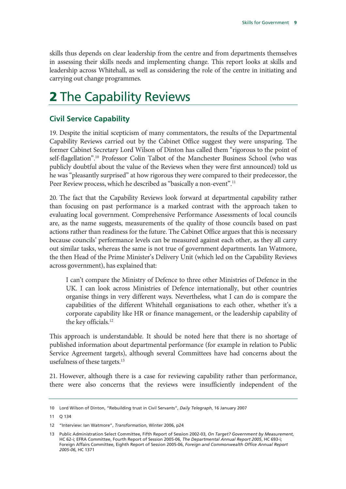skills thus depends on clear leadership from the centre and from departments themselves in assessing their skills needs and implementing change. This report looks at skills and leadership across Whitehall, as well as considering the role of the centre in initiating and carrying out change programmes.

# 2 The Capability Reviews

#### **Civil Service Capability**

19. Despite the initial scepticism of many commentators, the results of the Departmental Capability Reviews carried out by the Cabinet Office suggest they were unsparing. The former Cabinet Secretary Lord Wilson of Dinton has called them "rigorous to the point of self-flagellation".<sup>10</sup> Professor Colin Talbot of the Manchester Business School (who was publicly doubtful about the value of the Reviews when they were first announced) told us he was "pleasantly surprised" at how rigorous they were compared to their predecessor, the Peer Review process, which he described as "basically a non-event".<sup>11</sup>

20. The fact that the Capability Reviews look forward at departmental capability rather than focusing on past performance is a marked contrast with the approach taken to evaluating local government. Comprehensive Performance Assessments of local councils are, as the name suggests, measurements of the quality of those councils based on past actions rather than readiness for the future. The Cabinet Office argues that this is necessary because councils' performance levels can be measured against each other, as they all carry out similar tasks, whereas the same is not true of government departments. Ian Watmore, the then Head of the Prime Minister's Delivery Unit (which led on the Capability Reviews across government), has explained that:

I can't compare the Ministry of Defence to three other Ministries of Defence in the UK. I can look across Ministries of Defence internationally, but other countries organise things in very different ways. Nevertheless, what I can do is compare the capabilities of the different Whitehall organisations to each other, whether it's a corporate capability like HR or finance management, or the leadership capability of the key officials.<sup>12</sup>

This approach is understandable. It should be noted here that there is no shortage of published information about departmental performance (for example in relation to Public Service Agreement targets), although several Committees have had concerns about the usefulness of these targets.<sup>13</sup>

21. However, although there is a case for reviewing capability rather than performance, there were also concerns that the reviews were insufficiently independent of the

<sup>10</sup> Lord Wilson of Dinton, "Rebuilding trust in Civil Servants", *Daily Telegraph*, 16 January 2007

<sup>11</sup> Q 134

<sup>12 &</sup>quot;Interview: Ian Watmore", *Transformation*, Winter 2006, p24

<sup>13</sup> Public Administration Select Committee, Fifth Report of Session 2002-03, *On Target? Government by Measurement*, HC 62-i; EFRA Committee, Fourth Report of Session 2005-06, *The Departmental Annual Report 2005*, HC 693-i; Foreign Affairs Committee, Eighth Report of Session 2005-06, *Foreign and Commonwealth Office Annual Report 2005-06*, HC 1371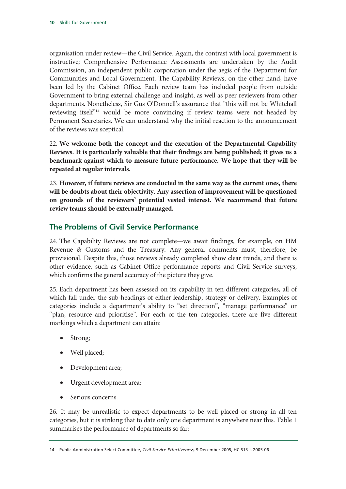organisation under review—the Civil Service. Again, the contrast with local government is instructive; Comprehensive Performance Assessments are undertaken by the Audit Commission, an independent public corporation under the aegis of the Department for Communities and Local Government. The Capability Reviews, on the other hand, have been led by the Cabinet Office. Each review team has included people from outside Government to bring external challenge and insight, as well as peer reviewers from other departments. Nonetheless, Sir Gus O'Donnell's assurance that "this will not be Whitehall reviewing itself"<sup>14</sup> would be more convincing if review teams were not headed by Permanent Secretaries. We can understand why the initial reaction to the announcement of the reviews was sceptical.

22. **We welcome both the concept and the execution of the Departmental Capability Reviews. It is particularly valuable that their findings are being published; it gives us a benchmark against which to measure future performance. We hope that they will be repeated at regular intervals.**

23. **However, if future reviews are conducted in the same way as the current ones, there will be doubts about their objectivity. Any assertion of improvement will be questioned on grounds of the reviewers' potential vested interest. We recommend that future review teams should be externally managed.**

#### **The Problems of Civil Service Performance**

24. The Capability Reviews are not complete—we await findings, for example, on HM Revenue & Customs and the Treasury. Any general comments must, therefore, be provisional. Despite this, those reviews already completed show clear trends, and there is other evidence, such as Cabinet Office performance reports and Civil Service surveys, which confirms the general accuracy of the picture they give.

25. Each department has been assessed on its capability in ten different categories, all of which fall under the sub-headings of either leadership, strategy or delivery. Examples of categories include a department's ability to "set direction", "manage performance" or "plan, resource and prioritise". For each of the ten categories, there are five different markings which a department can attain:

- Strong;
- Well placed;
- Development area;
- Urgent development area;
- Serious concerns.

26. It may be unrealistic to expect departments to be well placed or strong in all ten categories, but it is striking that to date only one department is anywhere near this. Table 1 summarises the performance of departments so far:

<sup>14</sup> Public Administration Select Committee, *Civil Service Effectiveness*, 9 December 2005, HC 513-i, 2005-06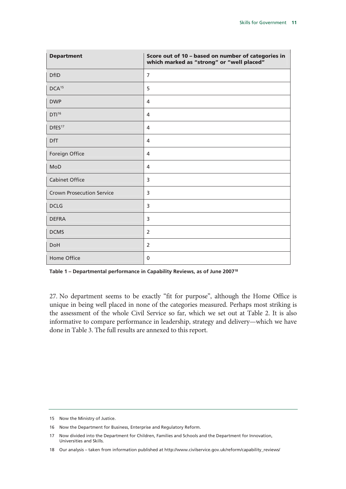| <b>Department</b>                | Score out of 10 - based on number of categories in<br>which marked as "strong" or "well placed" |
|----------------------------------|-------------------------------------------------------------------------------------------------|
| <b>DfID</b>                      | $\overline{7}$                                                                                  |
| DCA <sup>15</sup>                | 5                                                                                               |
| <b>DWP</b>                       | 4                                                                                               |
| DTI <sup>16</sup>                | $\overline{4}$                                                                                  |
| DfES <sup>17</sup>               | 4                                                                                               |
| <b>DfT</b>                       | 4                                                                                               |
| Foreign Office                   | 4                                                                                               |
| MoD                              | 4                                                                                               |
| <b>Cabinet Office</b>            | 3                                                                                               |
| <b>Crown Prosecution Service</b> | 3                                                                                               |
| <b>DCLG</b>                      | 3                                                                                               |
| <b>DEFRA</b>                     | 3                                                                                               |
| <b>DCMS</b>                      | $\overline{2}$                                                                                  |
| DoH                              | 2                                                                                               |
| Home Office                      | 0                                                                                               |

**Table 1 – Departmental performance in Capability Reviews, as of June 200718**

27. No department seems to be exactly "fit for purpose", although the Home Office is unique in being well placed in none of the categories measured. Perhaps most striking is the assessment of the whole Civil Service so far, which we set out at Table 2. It is also informative to compare performance in leadership, strategy and delivery—which we have done in Table 3. The full results are annexed to this report.

<sup>15</sup> Now the Ministry of Justice.

<sup>16</sup> Now the Department for Business, Enterprise and Regulatory Reform.

<sup>17</sup> Now divided into the Department for Children, Families and Schools and the Department for Innovation, Universities and Skills.

<sup>18</sup> Our analysis – taken from information published at http://www.civilservice.gov.uk/reform/capability\_reviews/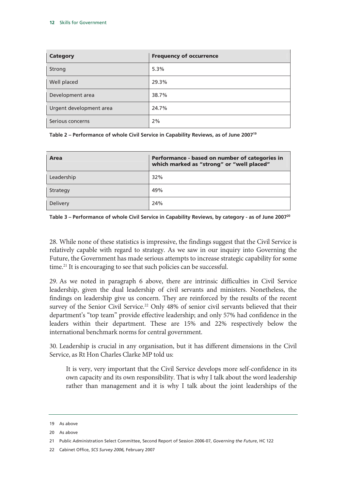| <b>Category</b>         | <b>Frequency of occurrence</b> |
|-------------------------|--------------------------------|
| Strong                  | 5.3%                           |
| Well placed             | 29.3%                          |
| Development area        | 38.7%                          |
| Urgent development area | 24.7%                          |
| Serious concerns        | 2%                             |

**Table 2 – Performance of whole Civil Service in Capability Reviews, as of June 200719**

| Area       | Performance - based on number of categories in<br>which marked as "strong" or "well placed" |
|------------|---------------------------------------------------------------------------------------------|
| Leadership | 32%                                                                                         |
| Strategy   | 49%                                                                                         |
| Delivery   | 24%                                                                                         |

**Table 3 – Performance of whole Civil Service in Capability Reviews, by category - as of June 200720**

28. While none of these statistics is impressive, the findings suggest that the Civil Service is relatively capable with regard to strategy. As we saw in our inquiry into Governing the Future, the Government has made serious attempts to increase strategic capability for some time.<sup>21</sup> It is encouraging to see that such policies can be successful.

29. As we noted in paragraph 6 above, there are intrinsic difficulties in Civil Service leadership, given the dual leadership of civil servants and ministers. Nonetheless, the findings on leadership give us concern. They are reinforced by the results of the recent survey of the Senior Civil Service.<sup>22</sup> Only 48% of senior civil servants believed that their department's "top team" provide effective leadership; and only 57% had confidence in the leaders within their department. These are 15% and 22% respectively below the international benchmark norms for central government.

30. Leadership is crucial in any organisation, but it has different dimensions in the Civil Service, as Rt Hon Charles Clarke MP told us:

It is very, very important that the Civil Service develops more self-confidence in its own capacity and its own responsibility. That is why I talk about the word leadership rather than management and it is why I talk about the joint leaderships of the

<sup>19</sup> As above

<sup>20</sup> As above

<sup>21</sup> Public Administration Select Committee, Second Report of Session 2006-07, *Governing the Future*, HC 122

<sup>22</sup> Cabinet Office, *SCS Survey 2006,* February 2007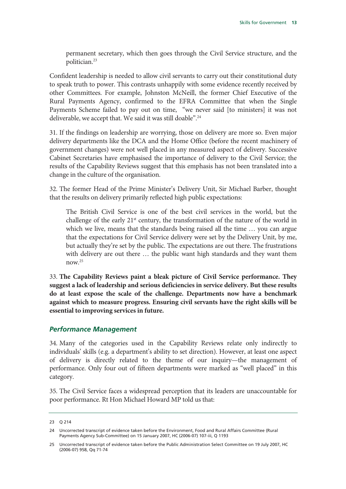permanent secretary, which then goes through the Civil Service structure, and the politician.23

Confident leadership is needed to allow civil servants to carry out their constitutional duty to speak truth to power. This contrasts unhappily with some evidence recently received by other Committees. For example, Johnston McNeill, the former Chief Executive of the Rural Payments Agency, confirmed to the EFRA Committee that when the Single Payments Scheme failed to pay out on time, "we never said [to ministers] it was not deliverable, we accept that. We said it was still doable".<sup>24</sup>

31. If the findings on leadership are worrying, those on delivery are more so. Even major delivery departments like the DCA and the Home Office (before the recent machinery of government changes) were not well placed in any measured aspect of delivery. Successive Cabinet Secretaries have emphasised the importance of delivery to the Civil Service; the results of the Capability Reviews suggest that this emphasis has not been translated into a change in the culture of the organisation.

32. The former Head of the Prime Minister's Delivery Unit, Sir Michael Barber, thought that the results on delivery primarily reflected high public expectations:

The British Civil Service is one of the best civil services in the world, but the challenge of the early  $21<sup>st</sup>$  century, the transformation of the nature of the world in which we live, means that the standards being raised all the time ... you can argue that the expectations for Civil Service delivery were set by the Delivery Unit, by me, but actually they're set by the public. The expectations are out there. The frustrations with delivery are out there … the public want high standards and they want them now. $25$ 

33. **The Capability Reviews paint a bleak picture of Civil Service performance. They suggest a lack of leadership and serious deficiencies in service delivery. But these results do at least expose the scale of the challenge. Departments now have a benchmark against which to measure progress. Ensuring civil servants have the right skills will be essential to improving services in future.**

#### *Performance Management*

34. Many of the categories used in the Capability Reviews relate only indirectly to individuals' skills (e.g. a department's ability to set direction). However, at least one aspect of delivery is directly related to the theme of our inquiry—the management of performance. Only four out of fifteen departments were marked as "well placed" in this category.

35. The Civil Service faces a widespread perception that its leaders are unaccountable for poor performance. Rt Hon Michael Howard MP told us that:

<sup>23</sup> Q 214

<sup>24</sup> Uncorrected transcript of evidence taken before the Environment, Food and Rural Affairs Committee (Rural Payments Agency Sub-Committee) on 15 January 2007, HC (2006-07) 107-iii, Q 1193

<sup>25</sup> Uncorrected transcript of evidence taken before the Public Administration Select Committee on 19 July 2007, HC (2006-07) 958, Qq 71-74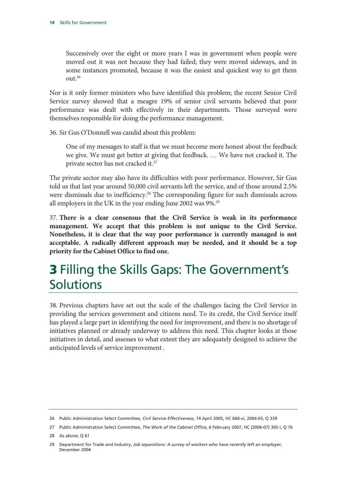Successively over the eight or more years I was in government when people were moved out it was not because they had failed; they were moved sideways, and in some instances promoted, because it was the easiest and quickest way to get them out.26

Nor is it only former ministers who have identified this problem; the recent Senior Civil Service survey showed that a meagre 19% of senior civil servants believed that poor performance was dealt with effectively in their departments. Those surveyed were themselves responsible for doing the performance management.

36. Sir Gus O'Donnell was candid about this problem:

One of my messages to staff is that we must become more honest about the feedback we give. We must get better at giving that feedback. … We have not cracked it. The private sector has not cracked it.<sup>27</sup>

The private sector may also have its difficulties with poor performance. However, Sir Gus told us that last year around 50,000 civil servants left the service, and of those around 2.5% were dismissals due to inefficiency.<sup>28</sup> The corresponding figure for such dismissals across all employers in the UK in the year ending June 2002 was 9%.<sup>29</sup>

37. **There is a clear consensus that the Civil Service is weak in its performance management. We accept that this problem is not unique to the Civil Service. Nonetheless, it is clear that the way poor performance is currently managed is not acceptable. A radically different approach may be needed, and it should be a top priority for the Cabinet Office to find one.**

### 3 Filling the Skills Gaps: The Government's Solutions

38. Previous chapters have set out the scale of the challenges facing the Civil Service in providing the services government and citizens need. To its credit, the Civil Service itself has played a large part in identifying the need for improvement, and there is no shortage of initiatives planned or already underway to address this need. This chapter looks at those initiatives in detail, and assesses to what extent they are adequately designed to achieve the anticipated levels of service improvement .

<sup>26</sup> Public Administration Select Committee, *Civil Service Effectiveness*, 14 April 2005, HC 660-vi, 2004-05, Q 339

<sup>27</sup> Public Administration Select Committee, *The Work of the Cabinet Office*, 6 February 2007, HC (2006-07) 305-i, Q 76

<sup>28</sup> As above, Q 61

<sup>29</sup> Department for Trade and Industry, *Job separations: A survey of workers who have recently left an employer*, December 2004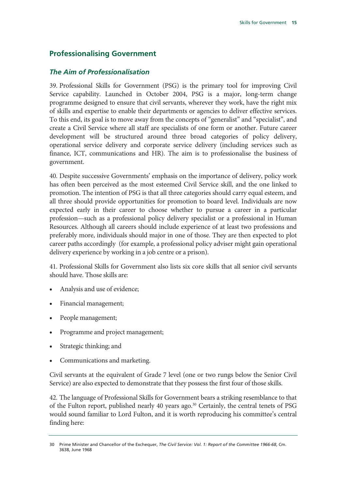#### **Professionalising Government**

#### *The Aim of Professionalisation*

39. Professional Skills for Government (PSG) is the primary tool for improving Civil Service capability. Launched in October 2004, PSG is a major, long-term change programme designed to ensure that civil servants, wherever they work, have the right mix of skills and expertise to enable their departments or agencies to deliver effective services. To this end, its goal is to move away from the concepts of "generalist" and "specialist", and create a Civil Service where all staff are specialists of one form or another. Future career development will be structured around three broad categories of policy delivery, operational service delivery and corporate service delivery (including services such as finance, ICT, communications and HR). The aim is to professionalise the business of government.

40. Despite successive Governments' emphasis on the importance of delivery, policy work has often been perceived as the most esteemed Civil Service skill, and the one linked to promotion. The intention of PSG is that all three categories should carry equal esteem, and all three should provide opportunities for promotion to board level. Individuals are now expected early in their career to choose whether to pursue a career in a particular profession—such as a professional policy delivery specialist or a professional in Human Resources. Although all careers should include experience of at least two professions and preferably more, individuals should major in one of those. They are then expected to plot career paths accordingly (for example, a professional policy adviser might gain operational delivery experience by working in a job centre or a prison).

41. Professional Skills for Government also lists six core skills that all senior civil servants should have. Those skills are:

- Analysis and use of evidence;
- Financial management;
- People management;
- Programme and project management;
- Strategic thinking; and
- Communications and marketing.

Civil servants at the equivalent of Grade 7 level (one or two rungs below the Senior Civil Service) are also expected to demonstrate that they possess the first four of those skills.

42. The language of Professional Skills for Government bears a striking resemblance to that of the Fulton report, published nearly 40 years ago.<sup>30</sup> Certainly, the central tenets of PSG would sound familiar to Lord Fulton, and it is worth reproducing his committee's central finding here:

<sup>30</sup> Prime Minister and Chancellor of the Exchequer, *The Civil Service: Vol. 1: Report of the Committee 1966-68*, Cm. 3638, June 1968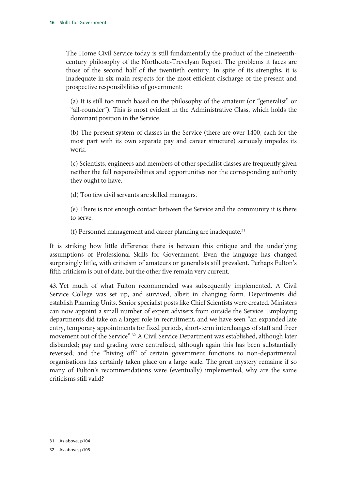The Home Civil Service today is still fundamentally the product of the nineteenthcentury philosophy of the Northcote-Trevelyan Report. The problems it faces are those of the second half of the twentieth century. In spite of its strengths, it is inadequate in six main respects for the most efficient discharge of the present and prospective responsibilities of government:

(a) It is still too much based on the philosophy of the amateur (or "generalist" or "all-rounder"). This is most evident in the Administrative Class, which holds the dominant position in the Service.

(b) The present system of classes in the Service (there are over 1400, each for the most part with its own separate pay and career structure) seriously impedes its work.

(c) Scientists, engineers and members of other specialist classes are frequently given neither the full responsibilities and opportunities nor the corresponding authority they ought to have.

(d) Too few civil servants are skilled managers.

(e) There is not enough contact between the Service and the community it is there to serve.

(f) Personnel management and career planning are inadequate. $31$ 

It is striking how little difference there is between this critique and the underlying assumptions of Professional Skills for Government. Even the language has changed surprisingly little, with criticism of amateurs or generalists still prevalent. Perhaps Fulton's fifth criticism is out of date, but the other five remain very current.

43. Yet much of what Fulton recommended was subsequently implemented. A Civil Service College was set up, and survived, albeit in changing form. Departments did establish Planning Units. Senior specialist posts like Chief Scientists were created. Ministers can now appoint a small number of expert advisers from outside the Service. Employing departments did take on a larger role in recruitment, and we have seen "an expanded late entry, temporary appointments for fixed periods, short-term interchanges of staff and freer movement out of the Service".<sup>32</sup> A Civil Service Department was established, although later disbanded; pay and grading were centralised, although again this has been substantially reversed; and the "hiving off" of certain government functions to non-departmental organisations has certainly taken place on a large scale. The great mystery remains: if so many of Fulton's recommendations were (eventually) implemented, why are the same criticisms still valid?

<sup>31</sup> As above, p104

<sup>32</sup> As above, p105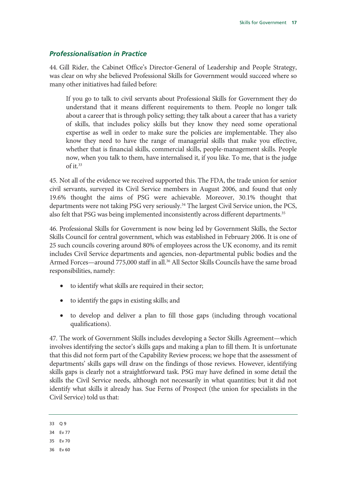#### *Professionalisation in Practice*

44. Gill Rider, the Cabinet Office's Director-General of Leadership and People Strategy, was clear on why she believed Professional Skills for Government would succeed where so many other initiatives had failed before:

If you go to talk to civil servants about Professional Skills for Government they do understand that it means different requirements to them. People no longer talk about a career that is through policy setting; they talk about a career that has a variety of skills, that includes policy skills but they know they need some operational expertise as well in order to make sure the policies are implementable. They also know they need to have the range of managerial skills that make you effective, whether that is financial skills, commercial skills, people-management skills. People now, when you talk to them, have internalised it, if you like. To me, that is the judge of it.33

45. Not all of the evidence we received supported this. The FDA, the trade union for senior civil servants, surveyed its Civil Service members in August 2006, and found that only 19.6% thought the aims of PSG were achievable. Moreover, 30.1% thought that departments were not taking PSG very seriously.<sup>34</sup> The largest Civil Service union, the PCS, also felt that PSG was being implemented inconsistently across different departments.<sup>35</sup>

46. Professional Skills for Government is now being led by Government Skills, the Sector Skills Council for central government, which was established in February 2006. It is one of 25 such councils covering around 80% of employees across the UK economy, and its remit includes Civil Service departments and agencies, non-departmental public bodies and the Armed Forces—around 775,000 staff in all.<sup>36</sup> All Sector Skills Councils have the same broad responsibilities, namely:

- to identify what skills are required in their sector;
- to identify the gaps in existing skills; and
- to develop and deliver a plan to fill those gaps (including through vocational qualifications).

47. The work of Government Skills includes developing a Sector Skills Agreement—which involves identifying the sector's skills gaps and making a plan to fill them. It is unfortunate that this did not form part of the Capability Review process; we hope that the assessment of departments' skills gaps will draw on the findings of those reviews. However, identifying skills gaps is clearly not a straightforward task. PSG may have defined in some detail the skills the Civil Service needs, although not necessarily in what quantities; but it did not identify what skills it already has. Sue Ferns of Prospect (the union for specialists in the Civil Service) told us that:

36 Ev 60

<sup>33</sup> Q 9

<sup>34</sup> Ev 77

<sup>35</sup> Ev 70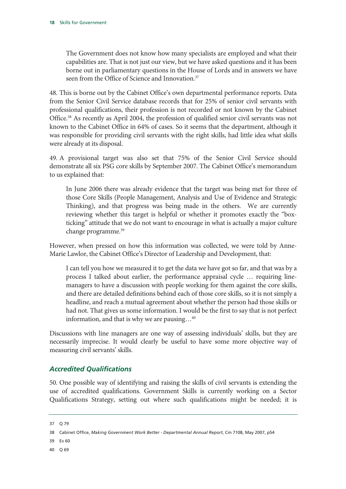The Government does not know how many specialists are employed and what their capabilities are. That is not just our view, but we have asked questions and it has been borne out in parliamentary questions in the House of Lords and in answers we have seen from the Office of Science and Innovation.<sup>37</sup>

48. This is borne out by the Cabinet Office's own departmental performance reports. Data from the Senior Civil Service database records that for 25% of senior civil servants with professional qualifications, their profession is not recorded or not known by the Cabinet Office.38 As recently as April 2004, the profession of qualified senior civil servants was not known to the Cabinet Office in 64% of cases. So it seems that the department, although it was responsible for providing civil servants with the right skills, had little idea what skills were already at its disposal.

49. A provisional target was also set that 75% of the Senior Civil Service should demonstrate all six PSG core skills by September 2007. The Cabinet Office's memorandum to us explained that:

In June 2006 there was already evidence that the target was being met for three of those Core Skills (People Management, Analysis and Use of Evidence and Strategic Thinking), and that progress was being made in the others. We are currently reviewing whether this target is helpful or whether it promotes exactly the "boxticking" attitude that we do not want to encourage in what is actually a major culture change programme.39

However, when pressed on how this information was collected, we were told by Anne-Marie Lawlor, the Cabinet Office's Director of Leadership and Development, that:

I can tell you how we measured it to get the data we have got so far, and that was by a process I talked about earlier, the performance appraisal cycle … requiring linemanagers to have a discussion with people working for them against the core skills, and there are detailed definitions behind each of those core skills, so it is not simply a headline, and reach a mutual agreement about whether the person had those skills or had not. That gives us some information. I would be the first to say that is not perfect information, and that is why we are pausing…40

Discussions with line managers are one way of assessing individuals' skills, but they are necessarily imprecise. It would clearly be useful to have some more objective way of measuring civil servants' skills.

#### *Accredited Qualifications*

50. One possible way of identifying and raising the skills of civil servants is extending the use of accredited qualifications. Government Skills is currently working on a Sector Qualifications Strategy, setting out where such qualifications might be needed; it is

40 Q 69

<sup>37</sup> Q 79

<sup>38</sup> Cabinet Office, *Making Government Work Better - Departmental Annual Report*, Cm 7108, May 2007, p54

<sup>39</sup> Ev 60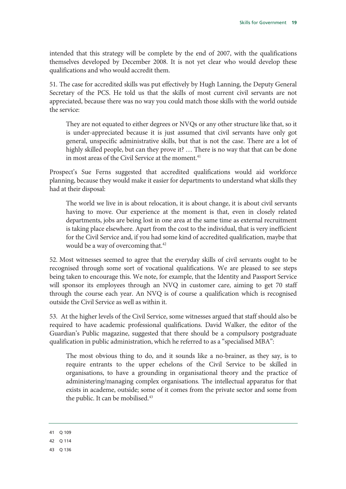intended that this strategy will be complete by the end of 2007, with the qualifications themselves developed by December 2008. It is not yet clear who would develop these qualifications and who would accredit them.

51. The case for accredited skills was put effectively by Hugh Lanning, the Deputy General Secretary of the PCS. He told us that the skills of most current civil servants are not appreciated, because there was no way you could match those skills with the world outside the service:

They are not equated to either degrees or NVQs or any other structure like that, so it is under-appreciated because it is just assumed that civil servants have only got general, unspecific administrative skills, but that is not the case. There are a lot of highly skilled people, but can they prove it? … There is no way that that can be done in most areas of the Civil Service at the moment.<sup>41</sup>

Prospect's Sue Ferns suggested that accredited qualifications would aid workforce planning, because they would make it easier for departments to understand what skills they had at their disposal:

The world we live in is about relocation, it is about change, it is about civil servants having to move. Our experience at the moment is that, even in closely related departments, jobs are being lost in one area at the same time as external recruitment is taking place elsewhere. Apart from the cost to the individual, that is very inefficient for the Civil Service and, if you had some kind of accredited qualification, maybe that would be a way of overcoming that.<sup>42</sup>

52. Most witnesses seemed to agree that the everyday skills of civil servants ought to be recognised through some sort of vocational qualifications. We are pleased to see steps being taken to encourage this. We note, for example, that the Identity and Passport Service will sponsor its employees through an NVQ in customer care, aiming to get 70 staff through the course each year. An NVQ is of course a qualification which is recognised outside the Civil Service as well as within it.

53. At the higher levels of the Civil Service, some witnesses argued that staff should also be required to have academic professional qualifications. David Walker, the editor of the Guardian's Public magazine, suggested that there should be a compulsory postgraduate qualification in public administration, which he referred to as a "specialised MBA":

The most obvious thing to do, and it sounds like a no-brainer, as they say, is to require entrants to the upper echelons of the Civil Service to be skilled in organisations, to have a grounding in organisational theory and the practice of administering/managing complex organisations. The intellectual apparatus for that exists in academe, outside; some of it comes from the private sector and some from the public. It can be mobilised.<sup>43</sup>

<sup>41</sup> Q 109

<sup>42</sup> Q 114

<sup>43</sup> Q 136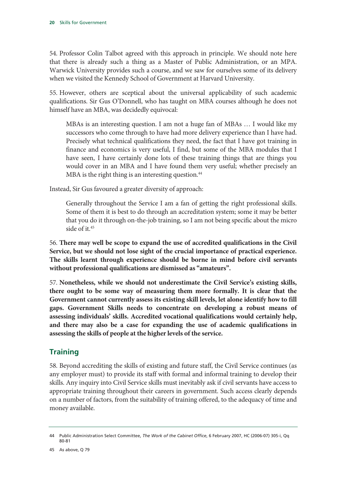54. Professor Colin Talbot agreed with this approach in principle. We should note here that there is already such a thing as a Master of Public Administration, or an MPA. Warwick University provides such a course, and we saw for ourselves some of its delivery when we visited the Kennedy School of Government at Harvard University.

55. However, others are sceptical about the universal applicability of such academic qualifications. Sir Gus O'Donnell, who has taught on MBA courses although he does not himself have an MBA, was decidedly equivocal:

MBAs is an interesting question. I am not a huge fan of MBAs … I would like my successors who come through to have had more delivery experience than I have had. Precisely what technical qualifications they need, the fact that I have got training in finance and economics is very useful, I find, but some of the MBA modules that I have seen, I have certainly done lots of these training things that are things you would cover in an MBA and I have found them very useful; whether precisely an MBA is the right thing is an interesting question.<sup>44</sup>

Instead, Sir Gus favoured a greater diversity of approach:

Generally throughout the Service I am a fan of getting the right professional skills. Some of them it is best to do through an accreditation system; some it may be better that you do it through on-the-job training, so I am not being specific about the micro side of it.45

56. **There may well be scope to expand the use of accredited qualifications in the Civil Service, but we should not lose sight of the crucial importance of practical experience. The skills learnt through experience should be borne in mind before civil servants without professional qualifications are dismissed as "amateurs".**

57. **Nonetheless, while we should not underestimate the Civil Service's existing skills, there ought to be some way of measuring them more formally. It is clear that the Government cannot currently assess its existing skill levels, let alone identify how to fill gaps. Government Skills needs to concentrate on developing a robust means of assessing individuals' skills. Accredited vocational qualifications would certainly help, and there may also be a case for expanding the use of academic qualifications in assessing the skills of people at the higher levels of the service.**

#### **Training**

58. Beyond accrediting the skills of existing and future staff, the Civil Service continues (as any employer must) to provide its staff with formal and informal training to develop their skills. Any inquiry into Civil Service skills must inevitably ask if civil servants have access to appropriate training throughout their careers in government. Such access clearly depends on a number of factors, from the suitability of training offered, to the adequacy of time and money available.

<sup>44</sup> Public Administration Select Committee, *The Work of the Cabinet Office*, 6 February 2007, HC (2006-07) 305-i, Qq 80-81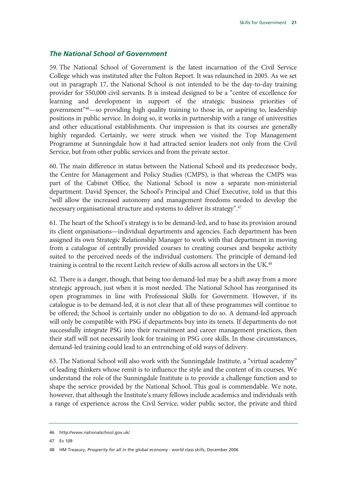#### *The National School of Government*

59. The National School of Government is the latest incarnation of the Civil Service College which was instituted after the Fulton Report. It was relaunched in 2005. As we set out in paragraph 17, the National School is not intended to be the day-to-day training provider for 550,000 civil servants. It is instead designed to be a "centre of excellence for learning and development in support of the strategic business priorities of government"46—so providing high quality training to those in, or aspiring to, leadership positions in public service. In doing so, it works in partnership with a range of universities and other educational establishments. Our impression is that its courses are generally highly regarded. Certainly, we were struck when we visited the Top Management Programme at Sunningdale how it had attracted senior leaders not only from the Civil Service, but from other public services and from the private sector.

60. The main difference in status between the National School and its predecessor body, the Centre for Management and Policy Studies (CMPS), is that whereas the CMPS was part of the Cabinet Office, the National School is now a separate non-ministerial department. David Spencer, the School's Principal and Chief Executive, told us that this "will allow the increased autonomy and management freedoms needed to develop the necessary organisational structure and systems to deliver its strategy".<sup>47</sup>

61. The heart of the School's strategy is to be demand-led, and to base its provision around its client organisations—individual departments and agencies. Each department has been assigned its own Strategic Relationship Manager to work with that department in moving from a catalogue of centrally provided courses to creating courses and bespoke activity suited to the perceived needs of the individual customers. The principle of demand-led training is central to the recent Leitch review of skills across all sectors in the UK.48

62. There is a danger, though, that being too demand-led may be a shift away from a more strategic approach, just when it is most needed. The National School has reorganised its open programmes in line with Professional Skills for Government. However, if its catalogue is to be demand-led, it is not clear that all of these programmes will continue to be offered; the School is certainly under no obligation to do so. A demand-led approach will only be compatible with PSG if departments buy into its tenets. If departments do not successfully integrate PSG into their recruitment and career management practices, then their staff will not necessarily look for training in PSG core skills. In those circumstances, demand-led training could lead to an entrenching of old ways of delivery.

63. The National School will also work with the Sunningdale Institute, a "virtual academy" of leading thinkers whose remit is to influence the style and the content of its courses. We understand the role of the Sunningdale Institute is to provide a challenge function and to shape the service provided by the National School. This goal is commendable. We note, however, that although the Institute's many fellows include academics and individuals with a range of experience across the Civil Service, wider public sector, the private and third

<sup>46</sup> http://www.nationalschool.gov.uk/

<sup>47</sup> Ev 109

<sup>48</sup> HM Treasury, *Prosperity for all in the global economy - world class skills*, December 2006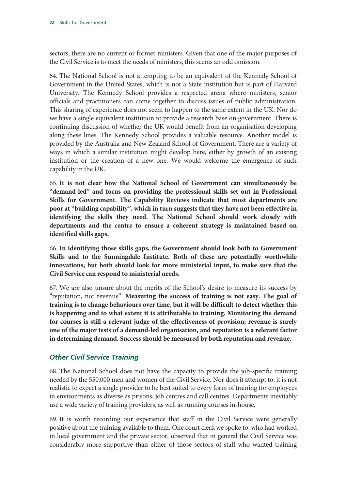sectors, there are no current or former ministers. Given that one of the major purposes of the Civil Service is to meet the needs of ministers, this seems an odd omission.

64. The National School is not attempting to be an equivalent of the Kennedy School of Government in the United States, which is not a State institution but is part of Harvard University. The Kennedy School provides a respected arena where ministers, senior officials and practitioners can come together to discuss issues of public administration. This sharing of experience does not seem to happen to the same extent in the UK. Nor do we have a single equivalent institution to provide a research base on government. There is continuing discussion of whether the UK would benefit from an organisation developing along these lines. The Kennedy School provides a valuable resource. Another model is provided by the Australia and New Zealand School of Government. There are a variety of ways in which a similar institution might develop here, either by growth of an existing institution or the creation of a new one. We would welcome the emergence of such capability in the UK.

65. **It is not clear how the National School of Government can simultaneously be "demand-led" and focus on providing the professional skills set out in Professional Skills for Government. The Capability Reviews indicate that most departments are poor at "building capability", which in turn suggests that they have not been effective in identifying the skills they need. The National School should work closely with departments and the centre to ensure a coherent strategy is maintained based on identified skills gaps.** 

66. **In identifying those skills gaps, the Government should look both to Government Skills and to the Sunningdale Institute. Both of these are potentially worthwhile innovations; but both should look for more ministerial input, to make sure that the Civil Service can respond to ministerial needs.**

67. We are also unsure about the merits of the School's desire to measure its success by "reputation, not revenue". **Measuring the success of training is not easy. The goal of training is to change behaviours over time, but it will be difficult to detect whether this is happening and to what extent it is attributable to training. Monitoring the demand for courses is still a relevant judge of the effectiveness of provision; revenue is surely one of the major tests of a demand-led organisation, and reputation is a relevant factor in determining demand. Success should be measured by both reputation and revenue.**

#### *Other Civil Service Training*

68. The National School does not have the capacity to provide the job-specific training needed by the 550,000 men and women of the Civil Service. Nor does it attempt to; it is not realistic to expect a single provider to be best suited to every form of training for employees in environments as diverse as prisons, job centres and call centres. Departments inevitably use a wide variety of training providers, as well as running courses in-house.

69. It is worth recording our experience that staff in the Civil Service were generally positive about the training available to them. One court clerk we spoke to, who had worked in local government and the private sector, observed that in general the Civil Service was considerably more supportive than either of those sectors of staff who wanted training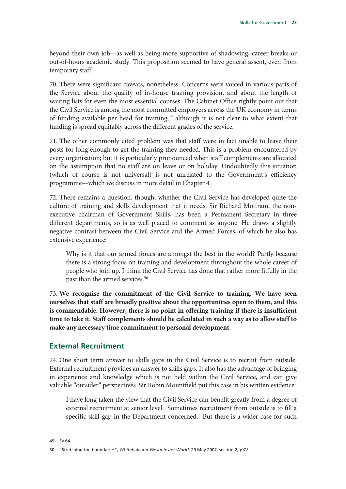beyond their own job—as well as being more supportive of shadowing, career breaks or out-of-hours academic study. This proposition seemed to have general assent, even from temporary staff.

70. There were significant caveats, nonetheless. Concerns were voiced in various parts of the Service about the quality of in-house training provision, and about the length of waiting lists for even the most essential courses. The Cabinet Office rightly point out that the Civil Service is among the most committed employers across the UK economy in terms of funding available per head for training,<sup>49</sup> although it is not clear to what extent that funding is spread equitably across the different grades of the service.

71. The other commonly cited problem was that staff were in fact unable to leave their posts for long enough to get the training they needed. This is a problem encountered by every organisation; but it is particularly pronounced when staff complements are allocated on the assumption that no staff are on leave or on holiday. Undoubtedly this situation (which of course is not universal) is not unrelated to the Government's efficiency programme—which we discuss in more detail in Chapter 4.

72. There remains a question, though, whether the Civil Service has developed quite the culture of training and skills development that it needs. Sir Richard Mottram, the nonexecutive chairman of Government Skills, has been a Permanent Secretary in three different departments, so is as well placed to comment as anyone. He draws a slightly negative contrast between the Civil Service and the Armed Forces, of which he also has extensive experience:

Why is it that our armed forces are amongst the best in the world? Partly because there is a strong focus on training and development throughout the whole career of people who join up. I think the Civil Service has done that rather more fitfully in the past than the armed services.<sup>50</sup>

73. **We recognise the commitment of the Civil Service to training. We have seen ourselves that staff are broadly positive about the opportunities open to them, and this is commendable. However, there is no point in offering training if there is insufficient time to take it. Staff complements should be calculated in such a way as to allow staff to make any necessary time commitment to personal development.**

#### **External Recruitment**

74. One short term answer to skills gaps in the Civil Service is to recruit from outside. External recruitment provides an answer to skills gaps. It also has the advantage of bringing in experience and knowledge which is not held within the Civil Service, and can give valuable "outsider" perspectives. Sir Robin Mountfield put this case in his written evidence:

I have long taken the view that the Civil Service can benefit greatly from a degree of external recruitment at senior level. Sometimes recruitment from outside is to fill a specific skill gap in the Department concerned. But there is a wider case for such

49 Ev 64

<sup>50 &</sup>quot;Stretching the boundaries", *Whitehall and Westminster World*, 29 May 2007, section 2, pXV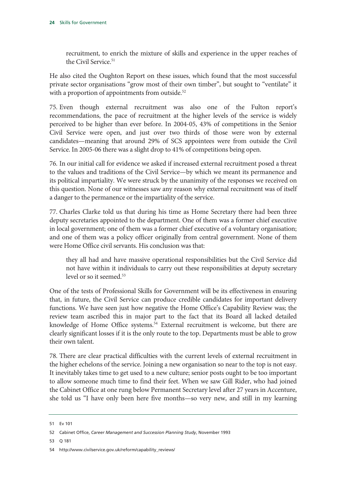recruitment, to enrich the mixture of skills and experience in the upper reaches of the Civil Service.<sup>51</sup>

He also cited the Oughton Report on these issues, which found that the most successful private sector organisations "grow most of their own timber", but sought to "ventilate" it with a proportion of appointments from outside.<sup>52</sup>

75. Even though external recruitment was also one of the Fulton report's recommendations, the pace of recruitment at the higher levels of the service is widely perceived to be higher than ever before. In 2004-05, 43% of competitions in the Senior Civil Service were open, and just over two thirds of those were won by external candidates—meaning that around 29% of SCS appointees were from outside the Civil Service. In 2005-06 there was a slight drop to 41% of competitions being open.

76. In our initial call for evidence we asked if increased external recruitment posed a threat to the values and traditions of the Civil Service—by which we meant its permanence and its political impartiality. We were struck by the unanimity of the responses we received on this question. None of our witnesses saw any reason why external recruitment was of itself a danger to the permanence or the impartiality of the service.

77. Charles Clarke told us that during his time as Home Secretary there had been three deputy secretaries appointed to the department. One of them was a former chief executive in local government; one of them was a former chief executive of a voluntary organisation; and one of them was a policy officer originally from central government. None of them were Home Office civil servants. His conclusion was that:

they all had and have massive operational responsibilities but the Civil Service did not have within it individuals to carry out these responsibilities at deputy secretary level or so it seemed.<sup>53</sup>

One of the tests of Professional Skills for Government will be its effectiveness in ensuring that, in future, the Civil Service can produce credible candidates for important delivery functions. We have seen just how negative the Home Office's Capability Review was; the review team ascribed this in major part to the fact that its Board all lacked detailed knowledge of Home Office systems.<sup>54</sup> External recruitment is welcome, but there are clearly significant losses if it is the only route to the top. Departments must be able to grow their own talent.

78. There are clear practical difficulties with the current levels of external recruitment in the higher echelons of the service. Joining a new organisation so near to the top is not easy. It inevitably takes time to get used to a new culture; senior posts ought to be too important to allow someone much time to find their feet. When we saw Gill Rider, who had joined the Cabinet Office at one rung below Permanent Secretary level after 27 years in Accenture, she told us "I have only been here five months—so very new, and still in my learning

<sup>51</sup> Ev 101

<sup>52</sup> Cabinet Office, *Career Management and Succession Planning Study*, November 1993

<sup>53</sup> Q 181

<sup>54</sup> http://www.civilservice.gov.uk/reform/capability\_reviews/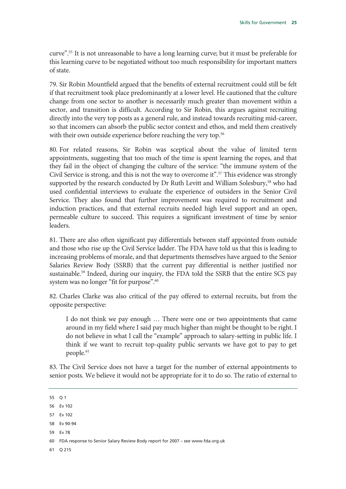curve".55 It is not unreasonable to have a long learning curve; but it must be preferable for this learning curve to be negotiated without too much responsibility for important matters of state.

79. Sir Robin Mountfield argued that the benefits of external recruitment could still be felt if that recruitment took place predominantly at a lower level. He cautioned that the culture change from one sector to another is necessarily much greater than movement within a sector, and transition is difficult. According to Sir Robin, this argues against recruiting directly into the very top posts as a general rule, and instead towards recruiting mid-career, so that incomers can absorb the public sector context and ethos, and meld them creatively with their own outside experience before reaching the very top.<sup>56</sup>

80. For related reasons, Sir Robin was sceptical about the value of limited term appointments, suggesting that too much of the time is spent learning the ropes, and that they fail in the object of changing the culture of the service: "the immune system of the Civil Service is strong, and this is not the way to overcome it".<sup>57</sup> This evidence was strongly supported by the research conducted by Dr Ruth Levitt and William Solesbury,<sup>58</sup> who had used confidential interviews to evaluate the experience of outsiders in the Senior Civil Service. They also found that further improvement was required to recruitment and induction practices, and that external recruits needed high level support and an open, permeable culture to succeed. This requires a significant investment of time by senior leaders.

81. There are also often significant pay differentials between staff appointed from outside and those who rise up the Civil Service ladder. The FDA have told us that this is leading to increasing problems of morale, and that departments themselves have argued to the Senior Salaries Review Body (SSRB) that the current pay differential is neither justified nor sustainable.<sup>59</sup> Indeed, during our inquiry, the FDA told the SSRB that the entire SCS pay system was no longer "fit for purpose".<sup>60</sup>

82. Charles Clarke was also critical of the pay offered to external recruits, but from the opposite perspective:

I do not think we pay enough … There were one or two appointments that came around in my field where I said pay much higher than might be thought to be right. I do not believe in what I call the "example" approach to salary-setting in public life. I think if we want to recruit top-quality public servants we have got to pay to get people.<sup>61</sup>

83. The Civil Service does not have a target for the number of external appointments to senior posts. We believe it would not be appropriate for it to do so. The ratio of external to

55 Q 1

56 Ev 102

59 Ev 78

61 Q 215

<sup>57</sup> Ev 102

<sup>58</sup> Ev 90-94

<sup>60</sup> FDA response to Senior Salary Review Body report for 2007 – see www.fda.org.uk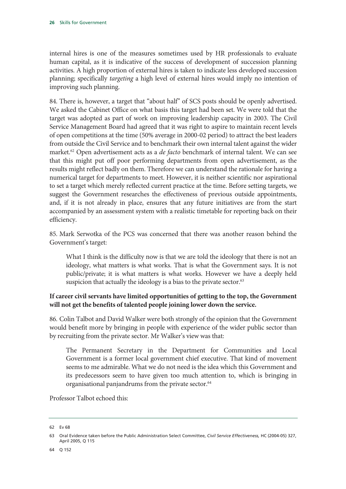internal hires is one of the measures sometimes used by HR professionals to evaluate human capital, as it is indicative of the success of development of succession planning activities. A high proportion of external hires is taken to indicate less developed succession planning; specifically *targeting* a high level of external hires would imply no intention of improving such planning.

84. There is, however, a target that "about half" of SCS posts should be openly advertised. We asked the Cabinet Office on what basis this target had been set. We were told that the target was adopted as part of work on improving leadership capacity in 2003. The Civil Service Management Board had agreed that it was right to aspire to maintain recent levels of open competitions at the time (50% average in 2000-02 period) to attract the best leaders from outside the Civil Service and to benchmark their own internal talent against the wider market.62 Open advertisement acts as a *de facto* benchmark of internal talent. We can see that this might put off poor performing departments from open advertisement, as the results might reflect badly on them. Therefore we can understand the rationale for having a numerical target for departments to meet. However, it is neither scientific nor aspirational to set a target which merely reflected current practice at the time. Before setting targets, we suggest the Government researches the effectiveness of previous outside appointments, and, if it is not already in place, ensures that any future initiatives are from the start accompanied by an assessment system with a realistic timetable for reporting back on their efficiency.

85. Mark Serwotka of the PCS was concerned that there was another reason behind the Government's target:

What I think is the difficulty now is that we are told the ideology that there is not an ideology, what matters is what works. That is what the Government says. It is not public/private; it is what matters is what works. However we have a deeply held suspicion that actually the ideology is a bias to the private sector.<sup>63</sup>

#### **If career civil servants have limited opportunities of getting to the top, the Government will not get the benefits of talented people joining lower down the service.**

86. Colin Talbot and David Walker were both strongly of the opinion that the Government would benefit more by bringing in people with experience of the wider public sector than by recruiting from the private sector. Mr Walker's view was that:

The Permanent Secretary in the Department for Communities and Local Government is a former local government chief executive. That kind of movement seems to me admirable. What we do not need is the idea which this Government and its predecessors seem to have given too much attention to, which is bringing in organisational panjandrums from the private sector.<sup>64</sup>

Professor Talbot echoed this:

<sup>62</sup> Ev 68

<sup>63</sup> Oral Evidence taken before the Public Administration Select Committee, *Civil Service Effectiveness,* HC (2004-05) 327, April 2005, Q 115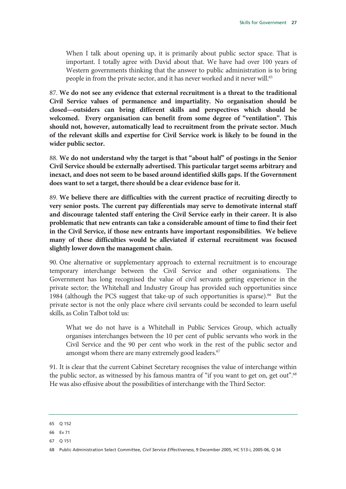When I talk about opening up, it is primarily about public sector space. That is important. I totally agree with David about that. We have had over 100 years of Western governments thinking that the answer to public administration is to bring people in from the private sector, and it has never worked and it never will.<sup>65</sup>

87. **We do not see any evidence that external recruitment is a threat to the traditional Civil Service values of permanence and impartiality. No organisation should be closed—outsiders can bring different skills and perspectives which should be welcomed. Every organisation can benefit from some degree of "ventilation". This should not, however, automatically lead to recruitment from the private sector. Much of the relevant skills and expertise for Civil Service work is likely to be found in the wider public sector.**

88. **We do not understand why the target is that "about half" of postings in the Senior Civil Service should be externally advertised. This particular target seems arbitrary and inexact, and does not seem to be based around identified skills gaps. If the Government does want to set a target, there should be a clear evidence base for it.**

89. **We believe there are difficulties with the current practice of recruiting directly to very senior posts. The current pay differentials may serve to demotivate internal staff and discourage talented staff entering the Civil Service early in their career. It is also problematic that new entrants can take a considerable amount of time to find their feet in the Civil Service, if those new entrants have important responsibilities. We believe many of these difficulties would be alleviated if external recruitment was focused slightly lower down the management chain.**

90. One alternative or supplementary approach to external recruitment is to encourage temporary interchange between the Civil Service and other organisations. The Government has long recognised the value of civil servants getting experience in the private sector; the Whitehall and Industry Group has provided such opportunities since 1984 (although the PCS suggest that take-up of such opportunities is sparse).<sup>66</sup> But the private sector is not the only place where civil servants could be seconded to learn useful skills, as Colin Talbot told us:

What we do not have is a Whitehall in Public Services Group, which actually organises interchanges between the 10 per cent of public servants who work in the Civil Service and the 90 per cent who work in the rest of the public sector and amongst whom there are many extremely good leaders.<sup>67</sup>

91. It is clear that the current Cabinet Secretary recognises the value of interchange within the public sector, as witnessed by his famous mantra of "if you want to get on, get out".<sup>68</sup> He was also effusive about the possibilities of interchange with the Third Sector:

<sup>65</sup> Q 152

<sup>66</sup> Ev 71

<sup>67</sup> Q 151

<sup>68</sup> Public Administration Select Committee, *Civil Service Effectiveness*, 9 December 2005, HC 513-i, 2005-06, Q 34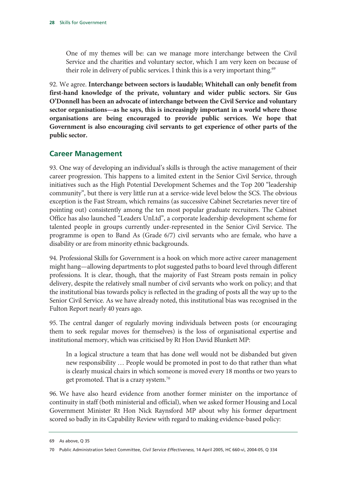One of my themes will be: can we manage more interchange between the Civil Service and the charities and voluntary sector, which I am very keen on because of their role in delivery of public services. I think this is a very important thing.<sup>69</sup>

92. We agree. **Interchange between sectors is laudable; Whitehall can only benefit from first-hand knowledge of the private, voluntary and wider public sectors. Sir Gus O'Donnell has been an advocate of interchange between the Civil Service and voluntary sector organisations—as he says, this is increasingly important in a world where those organisations are being encouraged to provide public services. We hope that Government is also encouraging civil servants to get experience of other parts of the public sector.**

#### **Career Management**

93. One way of developing an individual's skills is through the active management of their career progression. This happens to a limited extent in the Senior Civil Service, through initiatives such as the High Potential Development Schemes and the Top 200 "leadership community", but there is very little run at a service-wide level below the SCS. The obvious exception is the Fast Stream, which remains (as successive Cabinet Secretaries never tire of pointing out) consistently among the ten most popular graduate recruiters. The Cabinet Office has also launched "Leaders UnLtd", a corporate leadership development scheme for talented people in groups currently under-represented in the Senior Civil Service. The programme is open to Band As (Grade 6/7) civil servants who are female, who have a disability or are from minority ethnic backgrounds.

94. Professional Skills for Government is a hook on which more active career management might hang—allowing departments to plot suggested paths to board level through different professions. It is clear, though, that the majority of Fast Stream posts remain in policy delivery, despite the relatively small number of civil servants who work on policy; and that the institutional bias towards policy is reflected in the grading of posts all the way up to the Senior Civil Service. As we have already noted, this institutional bias was recognised in the Fulton Report nearly 40 years ago.

95. The central danger of regularly moving individuals between posts (or encouraging them to seek regular moves for themselves) is the loss of organisational expertise and institutional memory, which was criticised by Rt Hon David Blunkett MP:

In a logical structure a team that has done well would not be disbanded but given new responsibility … People would be promoted in post to do that rather than what is clearly musical chairs in which someone is moved every 18 months or two years to get promoted. That is a crazy system.70

96. We have also heard evidence from another former minister on the importance of continuity in staff (both ministerial and official), when we asked former Housing and Local Government Minister Rt Hon Nick Raynsford MP about why his former department scored so badly in its Capability Review with regard to making evidence-based policy:

<sup>69</sup> As above, Q 35

<sup>70</sup> Public Administration Select Committee, *Civil Service Effectiveness*, 14 April 2005, HC 660-vi, 2004-05, Q 334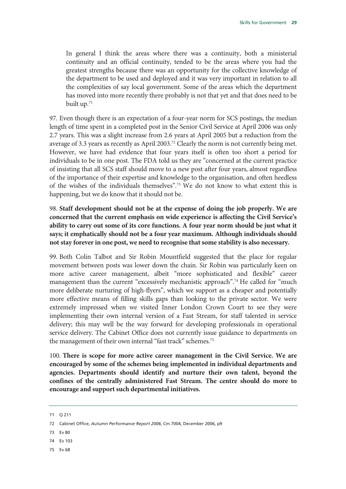In general I think the areas where there was a continuity, both a ministerial continuity and an official continuity, tended to be the areas where you had the greatest strengths because there was an opportunity for the collective knowledge of the department to be used and deployed and it was very important in relation to all the complexities of say local government. Some of the areas which the department has moved into more recently there probably is not that yet and that does need to be built up.71

97. Even though there is an expectation of a four-year norm for SCS postings, the median length of time spent in a completed post in the Senior Civil Service at April 2006 was only 2.7 years. This was a slight increase from 2.6 years at April 2005 but a reduction from the average of 3.3 years as recently as April 2003.<sup>72</sup> Clearly the norm is not currently being met. However, we have had evidence that four years itself is often too short a period for individuals to be in one post. The FDA told us they are "concerned at the current practice of insisting that all SCS staff should move to a new post after four years, almost regardless of the importance of their expertise and knowledge to the organisation, and often heedless of the wishes of the individuals themselves".73 We do not know to what extent this is happening, but we do know that it should not be.

98. **Staff development should not be at the expense of doing the job properly. We are concerned that the current emphasis on wide experience is affecting the Civil Service's ability to carry out some of its core functions. A four year norm should be just what it says; it emphatically should not be a four year maximum. Although individuals should not stay forever in one post, we need to recognise that some stability is also necessary.**

99. Both Colin Talbot and Sir Robin Mountfield suggested that the place for regular movement between posts was lower down the chain. Sir Robin was particularly keen on more active career management, albeit "more sophisticated and flexible" career management than the current "excessively mechanistic approach".<sup>74</sup> He called for "much more deliberate nurturing of high-flyers", which we support as a cheaper and potentially more effective means of filling skills gaps than looking to the private sector. We were extremely impressed when we visited Inner London Crown Court to see they were implementing their own internal version of a Fast Stream, for staff talented in service delivery; this may well be the way forward for developing professionals in operational service delivery. The Cabinet Office does not currently issue guidance to departments on the management of their own internal "fast track" schemes.<sup>75</sup>

100. **There is scope for more active career management in the Civil Service. We are encouraged by some of the schemes being implemented in individual departments and agencies. Departments should identify and nurture their own talent, beyond the confines of the centrally administered Fast Stream. The centre should do more to encourage and support such departmental initiatives.**

- 73 Ev 80
- 74 Ev 103
- 75 Ev 68

<sup>71</sup> Q 211

<sup>72</sup> Cabinet Office, *Autumn Performance Report 2006*, Cm 7004, December 2006, p9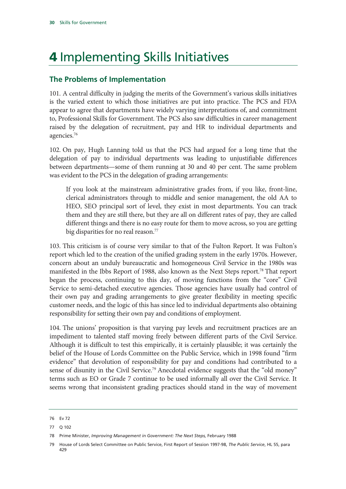# 4 Implementing Skills Initiatives

#### **The Problems of Implementation**

101. A central difficulty in judging the merits of the Government's various skills initiatives is the varied extent to which those initiatives are put into practice. The PCS and FDA appear to agree that departments have widely varying interpretations of, and commitment to, Professional Skills for Government. The PCS also saw difficulties in career management raised by the delegation of recruitment, pay and HR to individual departments and agencies.76

102. On pay, Hugh Lanning told us that the PCS had argued for a long time that the delegation of pay to individual departments was leading to unjustifiable differences between departments—some of them running at 30 and 40 per cent. The same problem was evident to the PCS in the delegation of grading arrangements:

If you look at the mainstream administrative grades from, if you like, front-line, clerical administrators through to middle and senior management, the old AA to HEO, SEO principal sort of level, they exist in most departments. You can track them and they are still there, but they are all on different rates of pay, they are called different things and there is no easy route for them to move across, so you are getting big disparities for no real reason.<sup>77</sup>

103. This criticism is of course very similar to that of the Fulton Report. It was Fulton's report which led to the creation of the unified grading system in the early 1970s. However, concern about an unduly bureaucratic and homogeneous Civil Service in the 1980s was manifested in the Ibbs Report of 1988, also known as the Next Steps report.<sup>78</sup> That report began the process, continuing to this day, of moving functions from the "core" Civil Service to semi-detached executive agencies. Those agencies have usually had control of their own pay and grading arrangements to give greater flexibility in meeting specific customer needs, and the logic of this has since led to individual departments also obtaining responsibility for setting their own pay and conditions of employment.

104. The unions' proposition is that varying pay levels and recruitment practices are an impediment to talented staff moving freely between different parts of the Civil Service. Although it is difficult to test this empirically, it is certainly plausible; it was certainly the belief of the House of Lords Committee on the Public Service, which in 1998 found "firm evidence" that devolution of responsibility for pay and conditions had contributed to a sense of disunity in the Civil Service.<sup>79</sup> Anecdotal evidence suggests that the "old money" terms such as EO or Grade 7 continue to be used informally all over the Civil Service. It seems wrong that inconsistent grading practices should stand in the way of movement

<sup>76</sup> Ev 72

<sup>77</sup> Q 102

<sup>78</sup> Prime Minister, *Improving Management in Government: The Next Steps,* February 1988

<sup>79</sup> House of Lords Select Committee on Public Service, First Report of Session 1997-98, *The Public Service*, HL 55, para 429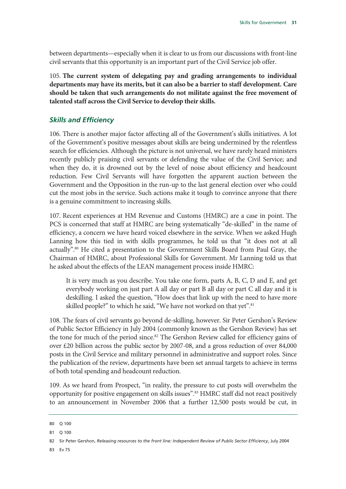between departments—especially when it is clear to us from our discussions with front-line civil servants that this opportunity is an important part of the Civil Service job offer.

105. **The current system of delegating pay and grading arrangements to individual departments may have its merits, but it can also be a barrier to staff development. Care should be taken that such arrangements do not militate against the free movement of talented staff across the Civil Service to develop their skills.** 

#### *Skills and Efficiency*

106. There is another major factor affecting all of the Government's skills initiatives. A lot of the Government's positive messages about skills are being undermined by the relentless search for efficiencies. Although the picture is not universal, we have rarely heard ministers recently publicly praising civil servants or defending the value of the Civil Service; and when they do, it is drowned out by the level of noise about efficiency and headcount reduction. Few Civil Servants will have forgotten the apparent auction between the Government and the Opposition in the run-up to the last general election over who could cut the most jobs in the service. Such actions make it tough to convince anyone that there is a genuine commitment to increasing skills.

107. Recent experiences at HM Revenue and Customs (HMRC) are a case in point. The PCS is concerned that staff at HMRC are being systematically "de-skilled" in the name of efficiency, a concern we have heard voiced elsewhere in the service. When we asked Hugh Lanning how this tied in with skills programmes, he told us that "it does not at all actually".<sup>80</sup> He cited a presentation to the Government Skills Board from Paul Gray, the Chairman of HMRC, about Professional Skills for Government. Mr Lanning told us that he asked about the effects of the LEAN management process inside HMRC:

It is very much as you describe. You take one form, parts A, B, C, D and E, and get everybody working on just part A all day or part B all day or part C all day and it is deskilling. I asked the question, "How does that link up with the need to have more skilled people?" to which he said, "We have not worked on that yet".<sup>81</sup>

108. The fears of civil servants go beyond de-skilling, however. Sir Peter Gershon's Review of Public Sector Efficiency in July 2004 (commonly known as the Gershon Review) has set the tone for much of the period since.<sup>82</sup> The Gershon Review called for efficiency gains of over £20 billion across the public sector by 2007-08, and a gross reduction of over 84,000 posts in the Civil Service and military personnel in administrative and support roles. Since the publication of the review, departments have been set annual targets to achieve in terms of both total spending and headcount reduction.

109. As we heard from Prospect, "in reality, the pressure to cut posts will overwhelm the opportunity for positive engagement on skills issues".83 HMRC staff did not react positively to an announcement in November 2006 that a further 12,500 posts would be cut, in

83 Ev 75

<sup>80</sup> Q 100

<sup>81</sup> Q 100

<sup>82</sup> Sir Peter Gershon, *Releasing resources to the front line: Independent Review of Public Sector Efficiency*, July 2004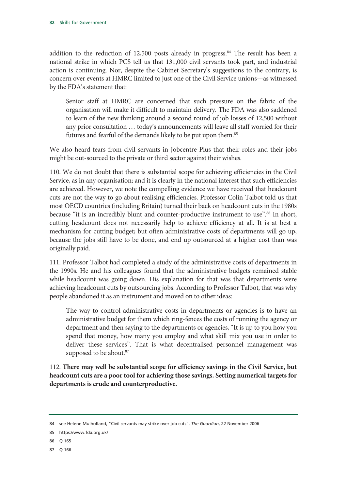addition to the reduction of 12,500 posts already in progress.<sup>84</sup> The result has been a national strike in which PCS tell us that 131,000 civil servants took part, and industrial action is continuing. Nor, despite the Cabinet Secretary's suggestions to the contrary, is concern over events at HMRC limited to just one of the Civil Service unions—as witnessed by the FDA's statement that:

Senior staff at HMRC are concerned that such pressure on the fabric of the organisation will make it difficult to maintain delivery. The FDA was also saddened to learn of the new thinking around a second round of job losses of 12,500 without any prior consultation … today's announcements will leave all staff worried for their futures and fearful of the demands likely to be put upon them.<sup>85</sup>

We also heard fears from civil servants in Jobcentre Plus that their roles and their jobs might be out-sourced to the private or third sector against their wishes.

110. We do not doubt that there is substantial scope for achieving efficiencies in the Civil Service, as in any organisation; and it is clearly in the national interest that such efficiencies are achieved. However, we note the compelling evidence we have received that headcount cuts are not the way to go about realising efficiencies. Professor Colin Talbot told us that most OECD countries (including Britain) turned their back on headcount cuts in the 1980s because "it is an incredibly blunt and counter-productive instrument to use".<sup>86</sup> In short, cutting headcount does not necessarily help to achieve efficiency at all. It is at best a mechanism for cutting budget; but often administrative costs of departments will go up, because the jobs still have to be done, and end up outsourced at a higher cost than was originally paid.

111. Professor Talbot had completed a study of the administrative costs of departments in the 1990s. He and his colleagues found that the administrative budgets remained stable while headcount was going down. His explanation for that was that departments were achieving headcount cuts by outsourcing jobs. According to Professor Talbot, that was why people abandoned it as an instrument and moved on to other ideas:

The way to control administrative costs in departments or agencies is to have an administrative budget for them which ring-fences the costs of running the agency or department and then saying to the departments or agencies, "It is up to you how you spend that money, how many you employ and what skill mix you use in order to deliver these services". That is what decentralised personnel management was supposed to be about.<sup>87</sup>

112. **There may well be substantial scope for efficiency savings in the Civil Service, but headcount cuts are a poor tool for achieving those savings. Setting numerical targets for departments is crude and counterproductive.**

87 Q 166

<sup>84</sup> see Helene Mulholland, "Civil servants may strike over job cuts", *The Guardian*, 22 November 2006

<sup>85</sup> https://www.fda.org.uk/

<sup>86</sup> Q 165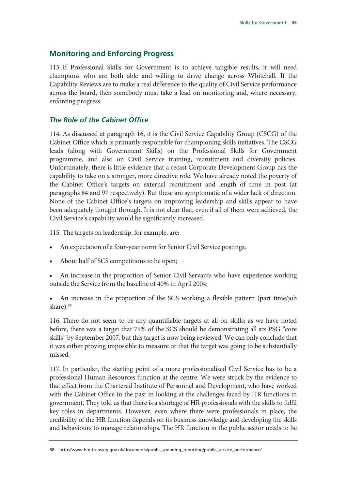#### **Monitoring and Enforcing Progress**

113. If Professional Skills for Government is to achieve tangible results, it will need champions who are both able and willing to drive change across Whitehall. If the Capability Reviews are to make a real difference to the quality of Civil Service performance across the board, then somebody must take a lead on monitoring and, where necessary, enforcing progress.

#### *The Role of the Cabinet Office*

114. As discussed at paragraph 16, it is the Civil Service Capability Group (CSCG) of the Cabinet Office which is primarily responsible for championing skills initiatives. The CSCG leads (along with Government Skills) on the Professional Skills for Government programme, and also on Civil Service training, recruitment and diversity policies. Unfortunately, there is little evidence that a recast Corporate Development Group has the capability to take on a stronger, more directive role. We have already noted the poverty of the Cabinet Office's targets on external recruitment and length of time in post (at paragraphs 84 and 97 respectively). But these are symptomatic of a wider lack of direction. None of the Cabinet Office's targets on improving leadership and skills appear to have been adequately thought through. It is not clear that, even if all of them were achieved, the Civil Service's capability would be significantly increased.

115. The targets on leadership, for example, are:

- An expectation of a four-year norm for Senior Civil Service postings;
- About half of SCS competitions to be open;
- An increase in the proportion of Senior Civil Servants who have experience working outside the Service from the baseline of 40% in April 2004;

• An increase in the proportion of the SCS working a flexible pattern (part time/job share).<sup>88</sup>

116. There do not seem to be any quantifiable targets at all on skills; as we have noted before, there was a target that 75% of the SCS should be demonstrating all six PSG "core skills" by September 2007, but this target is now being reviewed. We can only conclude that it was either proving impossible to measure or that the target was going to be substantially missed.

117. In particular, the starting point of a more professionalised Civil Service has to be a professional Human Resources function at the centre. We were struck by the evidence to that effect from the Chartered Institute of Personnel and Development, who have worked with the Cabinet Office in the past in looking at the challenges faced by HR functions in government. They told us that there is a shortage of HR professionals with the skills to fulfil key roles in departments. However, even where there were professionals in place, the credibility of the HR function depends on its business knowledge and developing the skills and behaviours to manage relationships. The HR function in the public sector needs to be

<sup>88</sup> http://www.hm-treasury.gov.uk/documents/public\_spending\_reporting/public\_service\_performance/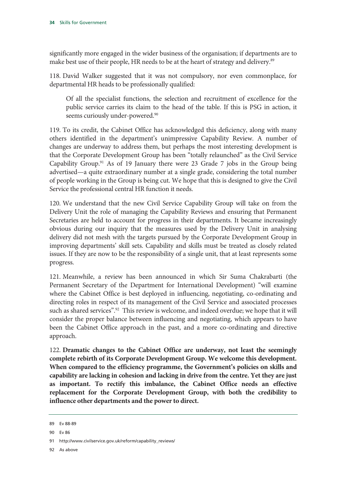significantly more engaged in the wider business of the organisation; if departments are to make best use of their people, HR needs to be at the heart of strategy and delivery.<sup>89</sup>

118. David Walker suggested that it was not compulsory, nor even commonplace, for departmental HR heads to be professionally qualified:

Of all the specialist functions, the selection and recruitment of excellence for the public service carries its claim to the head of the table. If this is PSG in action, it seems curiously under-powered.<sup>90</sup>

119. To its credit, the Cabinet Office has acknowledged this deficiency, along with many others identified in the department's unimpressive Capability Review. A number of changes are underway to address them, but perhaps the most interesting development is that the Corporate Development Group has been "totally relaunched" as the Civil Service Capability Group.91 As of 19 January there were 23 Grade 7 jobs in the Group being advertised—a quite extraordinary number at a single grade, considering the total number of people working in the Group is being cut. We hope that this is designed to give the Civil Service the professional central HR function it needs.

120. We understand that the new Civil Service Capability Group will take on from the Delivery Unit the role of managing the Capability Reviews and ensuring that Permanent Secretaries are held to account for progress in their departments. It became increasingly obvious during our inquiry that the measures used by the Delivery Unit in analysing delivery did not mesh with the targets pursued by the Corporate Development Group in improving departments' skill sets. Capability and skills must be treated as closely related issues. If they are now to be the responsibility of a single unit, that at least represents some progress.

121. Meanwhile, a review has been announced in which Sir Suma Chakrabarti (the Permanent Secretary of the Department for International Development) "will examine where the Cabinet Office is best deployed in influencing, negotiating, co-ordinating and directing roles in respect of its management of the Civil Service and associated processes such as shared services".<sup>92</sup> This review is welcome, and indeed overdue; we hope that it will consider the proper balance between influencing and negotiating, which appears to have been the Cabinet Office approach in the past, and a more co-ordinating and directive approach.

122. **Dramatic changes to the Cabinet Office are underway, not least the seemingly complete rebirth of its Corporate Development Group. We welcome this development. When compared to the efficiency programme, the Government's policies on skills and capability are lacking in cohesion and lacking in drive from the centre. Yet they are just as important. To rectify this imbalance, the Cabinet Office needs an effective replacement for the Corporate Development Group, with both the credibility to influence other departments and the power to direct.**

92 As above

<sup>89</sup> Ev 88-89

<sup>90</sup> Ev 86

<sup>91</sup> http://www.civilservice.gov.uk/reform/capability\_reviews/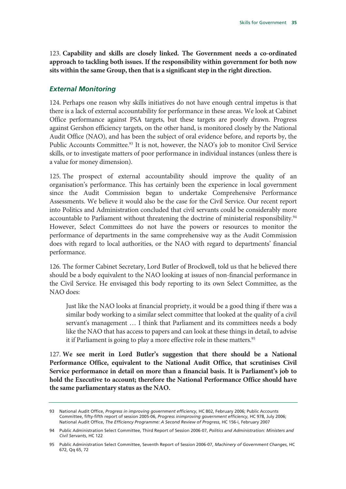123. **Capability and skills are closely linked. The Government needs a co-ordinated approach to tackling both issues. If the responsibility within government for both now sits within the same Group, then that is a significant step in the right direction.**

#### *External Monitoring*

124. Perhaps one reason why skills initiatives do not have enough central impetus is that there is a lack of external accountability for performance in these areas. We look at Cabinet Office performance against PSA targets, but these targets are poorly drawn. Progress against Gershon efficiency targets, on the other hand, is monitored closely by the National Audit Office (NAO), and has been the subject of oral evidence before, and reports by, the Public Accounts Committee.<sup>93</sup> It is not, however, the NAO's job to monitor Civil Service skills, or to investigate matters of poor performance in individual instances (unless there is a value for money dimension).

125. The prospect of external accountability should improve the quality of an organisation's performance. This has certainly been the experience in local government since the Audit Commission began to undertake Comprehensive Performance Assessments. We believe it would also be the case for the Civil Service. Our recent report into Politics and Administration concluded that civil servants could be considerably more accountable to Parliament without threatening the doctrine of ministerial responsibility.<sup>94</sup> However, Select Committees do not have the powers or resources to monitor the performance of departments in the same comprehensive way as the Audit Commission does with regard to local authorities, or the NAO with regard to departments' financial performance.

126. The former Cabinet Secretary, Lord Butler of Brockwell, told us that he believed there should be a body equivalent to the NAO looking at issues of non-financial performance in the Civil Service. He envisaged this body reporting to its own Select Committee, as the NAO does:

Just like the NAO looks at financial propriety, it would be a good thing if there was a similar body working to a similar select committee that looked at the quality of a civil servant's management … I think that Parliament and its committees needs a body like the NAO that has access to papers and can look at these things in detail, to advise it if Parliament is going to play a more effective role in these matters.<sup>95</sup>

127. **We see merit in Lord Butler's suggestion that there should be a National Performance Office, equivalent to the National Audit Office, that scrutinises Civil Service performance in detail on more than a financial basis. It is Parliament's job to hold the Executive to account; therefore the National Performance Office should have the same parliamentary status as the NAO.** 

<sup>93</sup> National Audit Office, *Progress in improving government efficiency*, HC 802, February 2006; Public Accounts Committee, fifty-fifth report of session 2005-06, *Progress inimproving government efficiency*, HC 978, July 2006; National Audit Office, *The Efficiency Programme: A Second Review of Progress*, HC 156-i, February 2007

<sup>94</sup> Public Administration Select Committee, Third Report of Session 2006-07, *Politics and Administration: Ministers and Civil Servants*, HC 122

<sup>95</sup> Public Administration Select Committee, Seventh Report of Session 2006-07, *Machinery of Government Changes*, HC 672, Qq 65, 72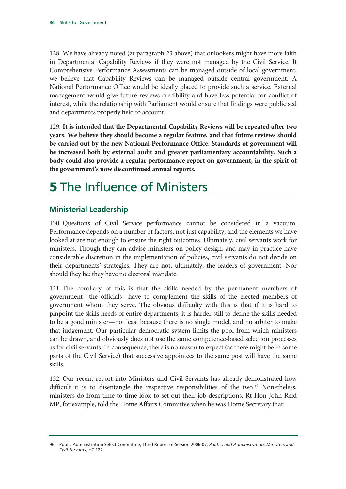128. We have already noted (at paragraph 23 above) that onlookers might have more faith in Departmental Capability Reviews if they were not managed by the Civil Service. If Comprehensive Performance Assessments can be managed outside of local government, we believe that Capability Reviews can be managed outside central government. A National Performance Office would be ideally placed to provide such a service. External management would give future reviews credibility and have less potential for conflict of interest, while the relationship with Parliament would ensure that findings were publicised and departments properly held to account.

129. **It is intended that the Departmental Capability Reviews will be repeated after two years. We believe they should become a regular feature, and that future reviews should be carried out by the new National Performance Office. Standards of government will be increased both by external audit and greater parliamentary accountability. Such a body could also provide a regular performance report on government, in the spirit of the government's now discontinued annual reports.**

# **5** The Influence of Ministers

#### **Ministerial Leadership**

130. Questions of Civil Service performance cannot be considered in a vacuum. Performance depends on a number of factors, not just capability; and the elements we have looked at are not enough to ensure the right outcomes. Ultimately, civil servants work for ministers. Though they can advise ministers on policy design, and may in practice have considerable discretion in the implementation of policies, civil servants do not decide on their departments' strategies. They are not, ultimately, the leaders of government. Nor should they be: they have no electoral mandate.

131. The corollary of this is that the skills needed by the permanent members of government—the officials—have to complement the skills of the elected members of government whom they serve. The obvious difficulty with this is that if it is hard to pinpoint the skills needs of entire departments, it is harder still to define the skills needed to be a good minister—not least because there is no single model, and no arbiter to make that judgement. Our particular democratic system limits the pool from which ministers can be drawn, and obviously does not use the same competence-based selection processes as for civil servants. In consequence, there is no reason to expect (as there might be in some parts of the Civil Service) that successive appointees to the same post will have the same skills.

132. Our recent report into Ministers and Civil Servants has already demonstrated how difficult it is to disentangle the respective responsibilities of the two. $96$  Nonetheless, ministers do from time to time look to set out their job descriptions. Rt Hon John Reid MP, for example, told the Home Affairs Committee when he was Home Secretary that:

<sup>96</sup> Public Administration Select Committee, Third Report of Session 2006-07, *Politics and Administration: Ministers and Civil Servants*, HC 122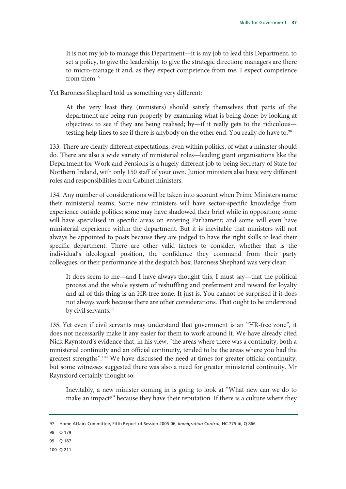It is not my job to manage this Department—it is my job to lead this Department, to set a policy, to give the leadership, to give the strategic direction; managers are there to micro-manage it and, as they expect competence from me, I expect competence from them.97

Yet Baroness Shephard told us something very different:

At the very least they (ministers) should satisfy themselves that parts of the department are being run properly by examining what is being done; by looking at objectives to see if they are being realised; by—if it really gets to the ridiculous testing help lines to see if there is anybody on the other end. You really do have to.<sup>98</sup>

133. There are clearly different expectations, even within politics, of what a minister should do. There are also a wide variety of ministerial roles—leading giant organisations like the Department for Work and Pensions is a hugely different job to being Secretary of State for Northern Ireland, with only 150 staff of your own. Junior ministers also have very different roles and responsibilities from Cabinet ministers.

134. Any number of considerations will be taken into account when Prime Ministers name their ministerial teams. Some new ministers will have sector-specific knowledge from experience outside politics; some may have shadowed their brief while in opposition; some will have specialised in specific areas on entering Parliament; and some will even have ministerial experience within the department. But it is inevitable that ministers will not always be appointed to posts because they are judged to have the right skills to lead their specific department. There are other valid factors to consider, whether that is the individual's ideological position, the confidence they command from their party colleagues, or their performance at the despatch box. Baroness Shephard was very clear:

It does seem to me—and I have always thought this, I must say—that the political process and the whole system of reshuffling and preferment and reward for loyalty and all of this thing is an HR-free zone. It just is. You cannot be surprised if it does not always work because there are other considerations. That ought to be understood by civil servants.<sup>99</sup>

135. Yet even if civil servants may understand that government is an "HR-free zone", it does not necessarily make it any easier for them to work around it. We have already cited Nick Raynsford's evidence that, in his view, "the areas where there was a continuity, both a ministerial continuity and an official continuity, tended to be the areas where you had the greatest strengths".<sup>100</sup> We have discussed the need at times for greater official continuity; but some witnesses suggested there was also a need for greater ministerial continuity. Mr Raynsford certainly thought so:

Inevitably, a new minister coming in is going to look at "What new can we do to make an impact?" because they have their reputation. If there is a culture where they

100 Q 211

<sup>97</sup> Home Affairs Committee, Fifth Report of Session 2005-06, *Immigration Control*, HC 775-iii, Q 866

<sup>98</sup> Q 179

<sup>99</sup> Q 187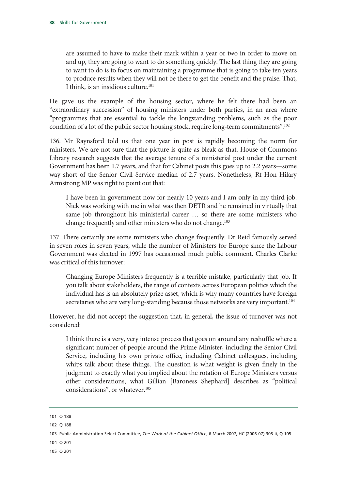are assumed to have to make their mark within a year or two in order to move on and up, they are going to want to do something quickly. The last thing they are going to want to do is to focus on maintaining a programme that is going to take ten years to produce results when they will not be there to get the benefit and the praise. That, I think, is an insidious culture.<sup>101</sup>

He gave us the example of the housing sector, where he felt there had been an "extraordinary succession" of housing ministers under both parties, in an area where "programmes that are essential to tackle the longstanding problems, such as the poor condition of a lot of the public sector housing stock, require long-term commitments".<sup>102</sup>

136. Mr Raynsford told us that one year in post is rapidly becoming the norm for ministers. We are not sure that the picture is quite as bleak as that. House of Commons Library research suggests that the average tenure of a ministerial post under the current Government has been 1.7 years, and that for Cabinet posts this goes up to 2.2 years—some way short of the Senior Civil Service median of 2.7 years. Nonetheless, Rt Hon Hilary Armstrong MP was right to point out that:

I have been in government now for nearly 10 years and I am only in my third job. Nick was working with me in what was then DETR and he remained in virtually that same job throughout his ministerial career … so there are some ministers who change frequently and other ministers who do not change.<sup>103</sup>

137. There certainly are some ministers who change frequently. Dr Reid famously served in seven roles in seven years, while the number of Ministers for Europe since the Labour Government was elected in 1997 has occasioned much public comment. Charles Clarke was critical of this turnover:

Changing Europe Ministers frequently is a terrible mistake, particularly that job. If you talk about stakeholders, the range of contexts across European politics which the individual has is an absolutely prize asset, which is why many countries have foreign secretaries who are very long-standing because those networks are very important.<sup>104</sup>

However, he did not accept the suggestion that, in general, the issue of turnover was not considered:

I think there is a very, very intense process that goes on around any reshuffle where a significant number of people around the Prime Minister, including the Senior Civil Service, including his own private office, including Cabinet colleagues, including whips talk about these things. The question is what weight is given finely in the judgment to exactly what you implied about the rotation of Europe Ministers versus other considerations, what Gillian [Baroness Shephard] describes as "political considerations", or whatever.<sup>105</sup>

- 104 Q 201
- 105 Q 201

<sup>101</sup> Q 188

<sup>102</sup> Q 188

<sup>103</sup> Public Administration Select Committee, *The Work of the Cabinet Office*, 6 March 2007, HC (2006-07) 305-ii, Q 105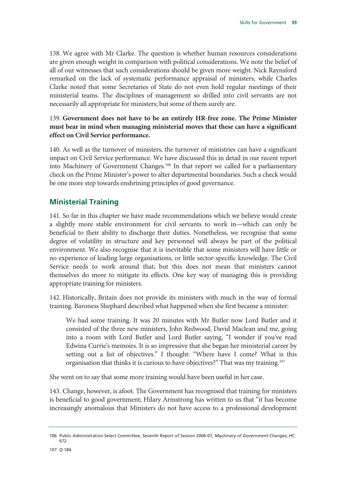138. We agree with Mr Clarke. The question is whether human resources considerations are given enough weight in comparison with political considerations. We note the belief of all of our witnesses that such considerations should be given more weight. Nick Raynsford remarked on the lack of systematic performance appraisal of ministers, while Charles Clarke noted that some Secretaries of State do not even hold regular meetings of their ministerial teams. The disciplines of management so drilled into civil servants are not necessarily all appropriate for ministers; but some of them surely are.

#### 139. **Government does not have to be an entirely HR-free zone. The Prime Minister must bear in mind when managing ministerial moves that these can have a significant effect on Civil Service performance.**

140. As well as the turnover of ministers, the turnover of ministries can have a significant impact on Civil Service performance. We have discussed this in detail in our recent report into Machinery of Government Changes.<sup>106</sup> In that report we called for a parliamentary check on the Prime Minister's power to alter departmental boundaries. Such a check would be one more step towards enshrining principles of good governance.

#### **Ministerial Training**

141. So far in this chapter we have made recommendations which we believe would create a slightly more stable environment for civil servants to work in—which can only be beneficial to their ability to discharge their duties. Nonetheless, we recognise that some degree of volatility in structure and key personnel will always be part of the political environment. We also recognise that it is inevitable that some ministers will have little or no experience of leading large organisations, or little sector-specific knowledge. The Civil Service needs to work around that; but this does not mean that ministers cannot themselves do more to mitigate its effects. One key way of managing this is providing appropriate training for ministers.

142. Historically, Britain does not provide its ministers with much in the way of formal training. Baroness Shephard described what happened when she first became a minister:

We had some training. It was 20 minutes with Mr Butler now Lord Butler and it consisted of the three new ministers, John Redwood, David Maclean and me, going into a room with Lord Butler and Lord Butler saying, "I wonder if you've read Edwina Currie's memoirs. It is so impressive that she began her ministerial career by setting out a list of objectives." I thought: "Where have I come? What is this organisation that thinks it is curious to have objectives?" That was my training.<sup>107</sup>

She went on to say that some more training would have been useful in her case.

143. Change, however, is afoot. The Government has recognised that training for ministers is beneficial to good government; Hilary Armstrong has written to us that "it has become increasingly anomalous that Ministers do not have access to a professional development

<sup>106</sup> Public Administration Select Committee, Seventh Report of Session 2006-07, *Machinery of Government Changes*, HC 672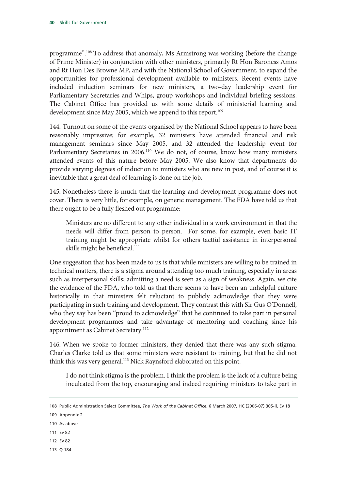programme".108 To address that anomaly, Ms Armstrong was working (before the change of Prime Minister) in conjunction with other ministers, primarily Rt Hon Baroness Amos and Rt Hon Des Browne MP, and with the National School of Government, to expand the opportunities for professional development available to ministers. Recent events have included induction seminars for new ministers, a two-day leadership event for Parliamentary Secretaries and Whips, group workshops and individual briefing sessions. The Cabinet Office has provided us with some details of ministerial learning and development since May 2005, which we append to this report.<sup>109</sup>

144. Turnout on some of the events organised by the National School appears to have been reasonably impressive; for example, 32 ministers have attended financial and risk management seminars since May 2005, and 32 attended the leadership event for Parliamentary Secretaries in 2006.<sup>110</sup> We do not, of course, know how many ministers attended events of this nature before May 2005. We also know that departments do provide varying degrees of induction to ministers who are new in post, and of course it is inevitable that a great deal of learning is done on the job.

145. Nonetheless there is much that the learning and development programme does not cover. There is very little, for example, on generic management. The FDA have told us that there ought to be a fully fleshed out programme:

Ministers are no different to any other individual in a work environment in that the needs will differ from person to person. For some, for example, even basic IT training might be appropriate whilst for others tactful assistance in interpersonal skills might be beneficial.<sup>111</sup>

One suggestion that has been made to us is that while ministers are willing to be trained in technical matters, there is a stigma around attending too much training, especially in areas such as interpersonal skills; admitting a need is seen as a sign of weakness. Again, we cite the evidence of the FDA, who told us that there seems to have been an unhelpful culture historically in that ministers felt reluctant to publicly acknowledge that they were participating in such training and development. They contrast this with Sir Gus O'Donnell, who they say has been "proud to acknowledge" that he continued to take part in personal development programmes and take advantage of mentoring and coaching since his appointment as Cabinet Secretary.<sup>112</sup>

146. When we spoke to former ministers, they denied that there was any such stigma. Charles Clarke told us that some ministers were resistant to training, but that he did not think this was very general.<sup>113</sup> Nick Raynsford elaborated on this point:

I do not think stigma is the problem. I think the problem is the lack of a culture being inculcated from the top, encouraging and indeed requiring ministers to take part in

- 110 As above
- 111 Ev 82
- 112 Ev 82
- 113 Q 184

<sup>108</sup> Public Administration Select Committee, *The Work of the Cabinet Office*, 6 March 2007, HC (2006-07) 305-ii, Ev 18

<sup>109</sup> Appendix 2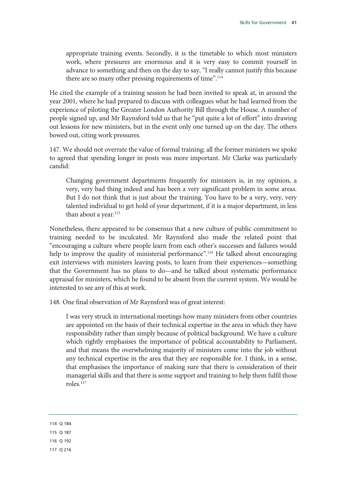appropriate training events. Secondly, it is the timetable to which most ministers work, where pressures are enormous and it is very easy to commit yourself in advance to something and then on the day to say, "I really cannot justify this because there are so many other pressing requirements of time".<sup>114</sup>

He cited the example of a training session he had been invited to speak at, in around the year 2001, where he had prepared to discuss with colleagues what he had learned from the experience of piloting the Greater London Authority Bill through the House. A number of people signed up, and Mr Raynsford told us that he "put quite a lot of effort" into drawing out lessons for new ministers, but in the event only one turned up on the day. The others bowed out, citing work pressures.

147. We should not overrate the value of formal training; all the former ministers we spoke to agreed that spending longer in posts was more important. Mr Clarke was particularly candid:

Changing government departments frequently for ministers is, in my opinion, a very, very bad thing indeed and has been a very significant problem in some areas. But I do not think that is just about the training. You have to be a very, very, very talented individual to get hold of your department, if it is a major department, in less than about a year.<sup>115</sup>

Nonetheless, there appeared to be consensus that a new culture of public commitment to training needed to be inculcated. Mr Raynsford also made the related point that "encouraging a culture where people learn from each other's successes and failures would help to improve the quality of ministerial performance".<sup>116</sup> He talked about encouraging exit interviews with ministers leaving posts, to learn from their experiences—something that the Government has no plans to do—and he talked about systematic performance appraisal for ministers, which he found to be absent from the current system. We would be interested to see any of this at work.

148. One final observation of Mr Raynsford was of great interest:

I was very struck in international meetings how many ministers from other countries are appointed on the basis of their technical expertise in the area in which they have responsibility rather than simply because of political background. We have a culture which rightly emphasises the importance of political accountability to Parliament, and that means the overwhelming majority of ministers come into the job without any technical expertise in the area that they are responsible for. I think, in a sense, that emphasises the importance of making sure that there is consideration of their managerial skills and that there is some support and training to help them fulfil those roles.117

|  | Δ |  | 184 |
|--|---|--|-----|
|--|---|--|-----|

- 115 Q 187
- 116 Q 192
- 117 Q 216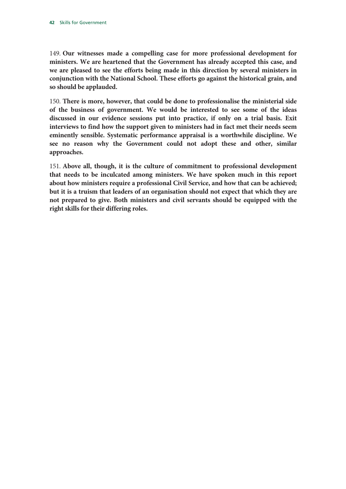149. **Our witnesses made a compelling case for more professional development for ministers. We are heartened that the Government has already accepted this case, and we are pleased to see the efforts being made in this direction by several ministers in conjunction with the National School. These efforts go against the historical grain, and so should be applauded.**

150. **There is more, however, that could be done to professionalise the ministerial side of the business of government. We would be interested to see some of the ideas discussed in our evidence sessions put into practice, if only on a trial basis. Exit interviews to find how the support given to ministers had in fact met their needs seem eminently sensible. Systematic performance appraisal is a worthwhile discipline. We see no reason why the Government could not adopt these and other, similar approaches.**

151. **Above all, though, it is the culture of commitment to professional development that needs to be inculcated among ministers. We have spoken much in this report about how ministers require a professional Civil Service, and how that can be achieved; but it is a truism that leaders of an organisation should not expect that which they are not prepared to give. Both ministers and civil servants should be equipped with the right skills for their differing roles.**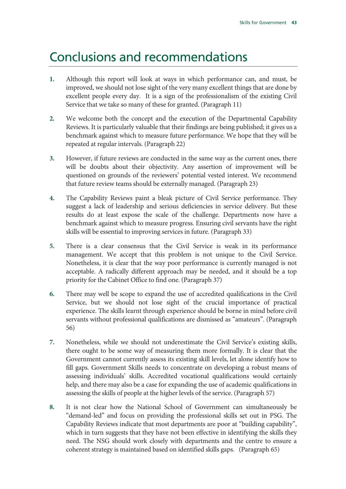### Conclusions and recommendations

- **1.** Although this report will look at ways in which performance can, and must, be improved, we should not lose sight of the very many excellent things that are done by excellent people every day. It is a sign of the professionalism of the existing Civil Service that we take so many of these for granted. (Paragraph 11)
- **2.** We welcome both the concept and the execution of the Departmental Capability Reviews. It is particularly valuable that their findings are being published; it gives us a benchmark against which to measure future performance. We hope that they will be repeated at regular intervals. (Paragraph 22)
- **3.** However, if future reviews are conducted in the same way as the current ones, there will be doubts about their objectivity. Any assertion of improvement will be questioned on grounds of the reviewers' potential vested interest. We recommend that future review teams should be externally managed. (Paragraph 23)
- **4.** The Capability Reviews paint a bleak picture of Civil Service performance. They suggest a lack of leadership and serious deficiencies in service delivery. But these results do at least expose the scale of the challenge. Departments now have a benchmark against which to measure progress. Ensuring civil servants have the right skills will be essential to improving services in future. (Paragraph 33)
- **5.** There is a clear consensus that the Civil Service is weak in its performance management. We accept that this problem is not unique to the Civil Service. Nonetheless, it is clear that the way poor performance is currently managed is not acceptable. A radically different approach may be needed, and it should be a top priority for the Cabinet Office to find one. (Paragraph 37)
- **6.** There may well be scope to expand the use of accredited qualifications in the Civil Service, but we should not lose sight of the crucial importance of practical experience. The skills learnt through experience should be borne in mind before civil servants without professional qualifications are dismissed as "amateurs". (Paragraph 56)
- **7.** Nonetheless, while we should not underestimate the Civil Service's existing skills, there ought to be some way of measuring them more formally. It is clear that the Government cannot currently assess its existing skill levels, let alone identify how to fill gaps. Government Skills needs to concentrate on developing a robust means of assessing individuals' skills. Accredited vocational qualifications would certainly help, and there may also be a case for expanding the use of academic qualifications in assessing the skills of people at the higher levels of the service. (Paragraph 57)
- **8.** It is not clear how the National School of Government can simultaneously be "demand-led" and focus on providing the professional skills set out in PSG. The Capability Reviews indicate that most departments are poor at "building capability", which in turn suggests that they have not been effective in identifying the skills they need. The NSG should work closely with departments and the centre to ensure a coherent strategy is maintained based on identified skills gaps. (Paragraph 65)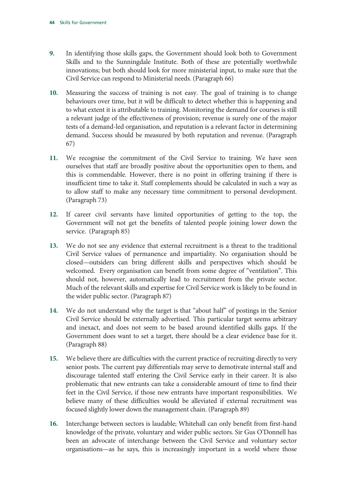- **9.** In identifying those skills gaps, the Government should look both to Government Skills and to the Sunningdale Institute. Both of these are potentially worthwhile innovations; but both should look for more ministerial input, to make sure that the Civil Service can respond to Ministerial needs. (Paragraph 66)
- **10.** Measuring the success of training is not easy. The goal of training is to change behaviours over time, but it will be difficult to detect whether this is happening and to what extent it is attributable to training. Monitoring the demand for courses is still a relevant judge of the effectiveness of provision; revenue is surely one of the major tests of a demand-led organisation, and reputation is a relevant factor in determining demand. Success should be measured by both reputation and revenue. (Paragraph 67)
- **11.** We recognise the commitment of the Civil Service to training. We have seen ourselves that staff are broadly positive about the opportunities open to them, and this is commendable. However, there is no point in offering training if there is insufficient time to take it. Staff complements should be calculated in such a way as to allow staff to make any necessary time commitment to personal development. (Paragraph 73)
- **12.** If career civil servants have limited opportunities of getting to the top, the Government will not get the benefits of talented people joining lower down the service. (Paragraph 85)
- **13.** We do not see any evidence that external recruitment is a threat to the traditional Civil Service values of permanence and impartiality. No organisation should be closed—outsiders can bring different skills and perspectives which should be welcomed. Every organisation can benefit from some degree of "ventilation". This should not, however, automatically lead to recruitment from the private sector. Much of the relevant skills and expertise for Civil Service work is likely to be found in the wider public sector. (Paragraph 87)
- **14.** We do not understand why the target is that "about half" of postings in the Senior Civil Service should be externally advertised. This particular target seems arbitrary and inexact, and does not seem to be based around identified skills gaps. If the Government does want to set a target, there should be a clear evidence base for it. (Paragraph 88)
- **15.** We believe there are difficulties with the current practice of recruiting directly to very senior posts. The current pay differentials may serve to demotivate internal staff and discourage talented staff entering the Civil Service early in their career. It is also problematic that new entrants can take a considerable amount of time to find their feet in the Civil Service, if those new entrants have important responsibilities. We believe many of these difficulties would be alleviated if external recruitment was focused slightly lower down the management chain. (Paragraph 89)
- **16.** Interchange between sectors is laudable; Whitehall can only benefit from first-hand knowledge of the private, voluntary and wider public sectors. Sir Gus O'Donnell has been an advocate of interchange between the Civil Service and voluntary sector organisations—as he says, this is increasingly important in a world where those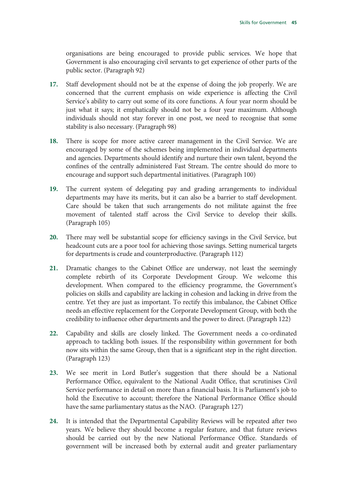organisations are being encouraged to provide public services. We hope that Government is also encouraging civil servants to get experience of other parts of the public sector. (Paragraph 92)

- **17.** Staff development should not be at the expense of doing the job properly. We are concerned that the current emphasis on wide experience is affecting the Civil Service's ability to carry out some of its core functions. A four year norm should be just what it says; it emphatically should not be a four year maximum. Although individuals should not stay forever in one post, we need to recognise that some stability is also necessary. (Paragraph 98)
- **18.** There is scope for more active career management in the Civil Service. We are encouraged by some of the schemes being implemented in individual departments and agencies. Departments should identify and nurture their own talent, beyond the confines of the centrally administered Fast Stream. The centre should do more to encourage and support such departmental initiatives. (Paragraph 100)
- **19.** The current system of delegating pay and grading arrangements to individual departments may have its merits, but it can also be a barrier to staff development. Care should be taken that such arrangements do not militate against the free movement of talented staff across the Civil Service to develop their skills. (Paragraph 105)
- **20.** There may well be substantial scope for efficiency savings in the Civil Service, but headcount cuts are a poor tool for achieving those savings. Setting numerical targets for departments is crude and counterproductive. (Paragraph 112)
- **21.** Dramatic changes to the Cabinet Office are underway, not least the seemingly complete rebirth of its Corporate Development Group. We welcome this development. When compared to the efficiency programme, the Government's policies on skills and capability are lacking in cohesion and lacking in drive from the centre. Yet they are just as important. To rectify this imbalance, the Cabinet Office needs an effective replacement for the Corporate Development Group, with both the credibility to influence other departments and the power to direct. (Paragraph 122)
- **22.** Capability and skills are closely linked. The Government needs a co-ordinated approach to tackling both issues. If the responsibility within government for both now sits within the same Group, then that is a significant step in the right direction. (Paragraph 123)
- **23.** We see merit in Lord Butler's suggestion that there should be a National Performance Office, equivalent to the National Audit Office, that scrutinises Civil Service performance in detail on more than a financial basis. It is Parliament's job to hold the Executive to account; therefore the National Performance Office should have the same parliamentary status as the NAO. (Paragraph 127)
- **24.** It is intended that the Departmental Capability Reviews will be repeated after two years. We believe they should become a regular feature, and that future reviews should be carried out by the new National Performance Office. Standards of government will be increased both by external audit and greater parliamentary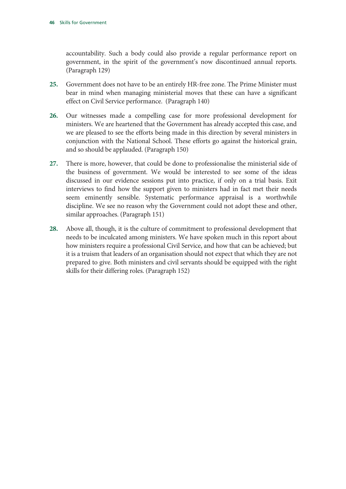accountability. Such a body could also provide a regular performance report on government, in the spirit of the government's now discontinued annual reports. (Paragraph 129)

- **25.** Government does not have to be an entirely HR-free zone. The Prime Minister must bear in mind when managing ministerial moves that these can have a significant effect on Civil Service performance. (Paragraph 140)
- **26.** Our witnesses made a compelling case for more professional development for ministers. We are heartened that the Government has already accepted this case, and we are pleased to see the efforts being made in this direction by several ministers in conjunction with the National School. These efforts go against the historical grain, and so should be applauded. (Paragraph 150)
- **27.** There is more, however, that could be done to professionalise the ministerial side of the business of government. We would be interested to see some of the ideas discussed in our evidence sessions put into practice, if only on a trial basis. Exit interviews to find how the support given to ministers had in fact met their needs seem eminently sensible. Systematic performance appraisal is a worthwhile discipline. We see no reason why the Government could not adopt these and other, similar approaches. (Paragraph 151)
- **28.** Above all, though, it is the culture of commitment to professional development that needs to be inculcated among ministers. We have spoken much in this report about how ministers require a professional Civil Service, and how that can be achieved; but it is a truism that leaders of an organisation should not expect that which they are not prepared to give. Both ministers and civil servants should be equipped with the right skills for their differing roles. (Paragraph 152)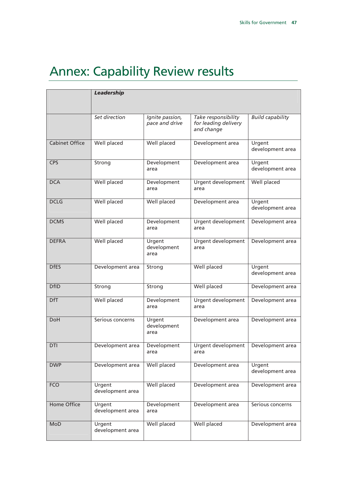# Annex: Capability Review results

|                       | <b>Leadership</b>          |                                   |                                                           |                            |
|-----------------------|----------------------------|-----------------------------------|-----------------------------------------------------------|----------------------------|
|                       | Set direction              | Ignite passion,<br>pace and drive | Take responsibility<br>for leading delivery<br>and change | <b>Build capability</b>    |
| <b>Cabinet Office</b> | Well placed                | Well placed                       | Development area                                          | Urgent<br>development area |
| <b>CPS</b>            | Strong                     | Development<br>area               | Development area                                          | Urgent<br>development area |
| <b>DCA</b>            | <b>Well placed</b>         | Development<br>area               | Urgent development<br>area                                | Well placed                |
| <b>DCLG</b>           | <b>Well placed</b>         | Well placed                       | Development area                                          | Urgent<br>development area |
| <b>DCMS</b>           | Well placed                | Development<br>area               | Urgent development<br>area                                | Development area           |
| <b>DEFRA</b>          | <b>Well placed</b>         | Urgent<br>development<br>area     | Urgent development<br>area                                | Development area           |
| <b>DfES</b>           | Development area           | Strong                            | <b>Well placed</b>                                        | Urgent<br>development area |
| <b>DfID</b>           | Strong                     | Strong                            | <b>Well placed</b>                                        | Development area           |
| <b>DfT</b>            | <b>Well placed</b>         | Development<br>area               | Urgent development<br>area                                | Development area           |
| <b>DoH</b>            | Serious concerns           | Urgent<br>development<br>area     | Development area                                          | Development area           |
| DTI                   | Development area           | Development<br>area               | Urgent development<br>area                                | Development area           |
| <b>DWP</b>            | Development area           | Well placed                       | Development area                                          | Urgent<br>development area |
| <b>FCO</b>            | Urgent<br>development area | Well placed                       | Development area                                          | Development area           |
| <b>Home Office</b>    | Urgent<br>development area | Development<br>area               | Development area                                          | Serious concerns           |
| MoD                   | Urgent<br>development area | Well placed                       | <b>Well placed</b>                                        | Development area           |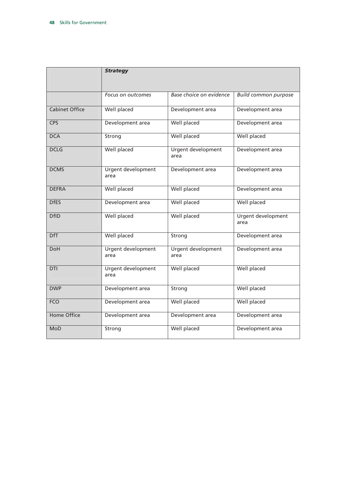|                       | <b>Strategy</b>                   |                            |                             |
|-----------------------|-----------------------------------|----------------------------|-----------------------------|
|                       | Focus on outcomes                 | Base choice on evidence    | <b>Build common purpose</b> |
| <b>Cabinet Office</b> | Well placed                       | Development area           | Development area            |
| <b>CPS</b>            | Development area                  | <b>Well placed</b>         | Development area            |
| <b>DCA</b>            | Strong                            | <b>Well placed</b>         | <b>Well placed</b>          |
| <b>DCLG</b>           | Well placed                       | Urgent development<br>area | Development area            |
| <b>DCMS</b>           | <b>Urgent development</b><br>area | Development area           | Development area            |
| <b>DEFRA</b>          | Well placed                       | Well placed                | Development area            |
| <b>DfES</b>           | Development area                  | Well placed                | <b>Well placed</b>          |
| <b>DfID</b>           | <b>Well placed</b>                | <b>Well placed</b>         | Urgent development<br>area  |
| <b>DfT</b>            | Well placed                       | Strong                     | Development area            |
| <b>DoH</b>            | Urgent development<br>area        | Urgent development<br>area | Development area            |
| <b>DTI</b>            | Urgent development<br>area        | <b>Well placed</b>         | <b>Well placed</b>          |
| <b>DWP</b>            | Development area                  | Strong                     | Well placed                 |
| <b>FCO</b>            | Development area                  | Well placed                | <b>Well placed</b>          |
| <b>Home Office</b>    | Development area                  | Development area           | Development area            |
| MoD                   | Strong                            | Well placed                | Development area            |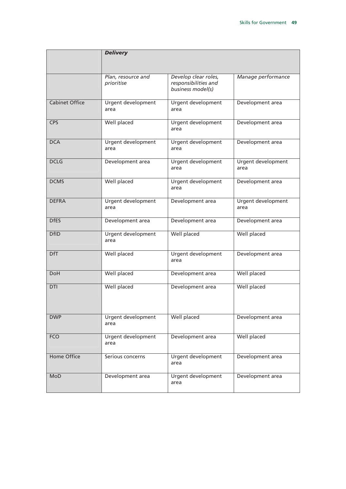|                       | <b>Delivery</b>                   |                                                                   |                            |
|-----------------------|-----------------------------------|-------------------------------------------------------------------|----------------------------|
|                       | Plan, resource and<br>prioritise  | Develop clear roles,<br>responsibilities and<br>business model(s) | Manage performance         |
| <b>Cabinet Office</b> | Urgent development<br>area        | Urgent development<br>area                                        | Development area           |
| <b>CPS</b>            | <b>Well placed</b>                | Urgent development<br>area                                        | Development area           |
| <b>DCA</b>            | Urgent development<br>area        | Urgent development<br>area                                        | Development area           |
| <b>DCLG</b>           | Development area                  | Urgent development<br>area                                        | Urgent development<br>area |
| <b>DCMS</b>           | <b>Well placed</b>                | Urgent development<br>area                                        | Development area           |
| <b>DEFRA</b>          | Urgent development<br>area        | Development area                                                  | Urgent development<br>area |
| <b>DfES</b>           | Development area                  | Development area                                                  | Development area           |
| <b>DfID</b>           | Urgent development<br>area        | Well placed                                                       | Well placed                |
| <b>DfT</b>            | <b>Well placed</b>                | Urgent development<br>area                                        | Development area           |
| <b>DoH</b>            | <b>Well placed</b>                | Development area                                                  | <b>Well placed</b>         |
| DTI                   | Well placed                       | Development area                                                  | <b>Well placed</b>         |
| <b>DWP</b>            | <b>Urgent development</b><br>area | <b>Well placed</b>                                                | Development area           |
| <b>FCO</b>            | Urgent development<br>area        | Development area                                                  | Well placed                |
| <b>Home Office</b>    | Serious concerns                  | Urgent development<br>area                                        | Development area           |
| <b>MoD</b>            | Development area                  | Urgent development<br>area                                        | Development area           |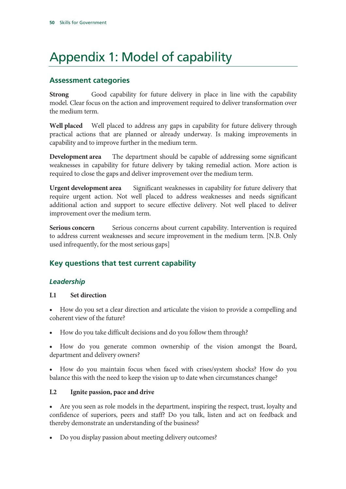# Appendix 1: Model of capability

#### **Assessment categories**

**Strong** Good capability for future delivery in place in line with the capability model. Clear focus on the action and improvement required to deliver transformation over the medium term.

**Well placed** Well placed to address any gaps in capability for future delivery through practical actions that are planned or already underway. Is making improvements in capability and to improve further in the medium term.

**Development area** The department should be capable of addressing some significant weaknesses in capability for future delivery by taking remedial action. More action is required to close the gaps and deliver improvement over the medium term.

**Urgent development area** Significant weaknesses in capability for future delivery that require urgent action. Not well placed to address weaknesses and needs significant additional action and support to secure effective delivery. Not well placed to deliver improvement over the medium term.

**Serious concern** Serious concerns about current capability. Intervention is required to address current weaknesses and secure improvement in the medium term. [N.B. Only used infrequently, for the most serious gaps]

#### **Key questions that test current capability**

#### *Leadership*

#### **L1 Set direction**

• How do you set a clear direction and articulate the vision to provide a compelling and coherent view of the future?

• How do you take difficult decisions and do you follow them through?

• How do you generate common ownership of the vision amongst the Board, department and delivery owners?

• How do you maintain focus when faced with crises/system shocks? How do you balance this with the need to keep the vision up to date when circumstances change?

#### **L2 Ignite passion, pace and drive**

• Are you seen as role models in the department, inspiring the respect, trust, loyalty and confidence of superiors, peers and staff? Do you talk, listen and act on feedback and thereby demonstrate an understanding of the business?

• Do you display passion about meeting delivery outcomes?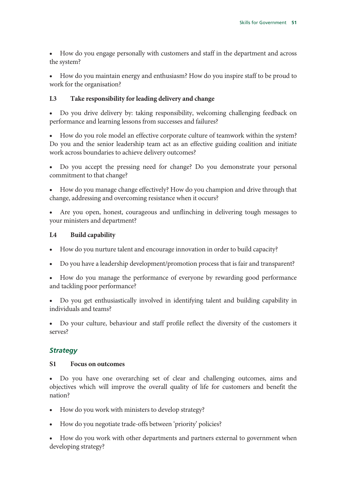• How do you engage personally with customers and staff in the department and across the system?

• How do you maintain energy and enthusiasm? How do you inspire staff to be proud to work for the organisation?

#### **L3 Take responsibility for leading delivery and change**

• Do you drive delivery by: taking responsibility, welcoming challenging feedback on performance and learning lessons from successes and failures?

• How do you role model an effective corporate culture of teamwork within the system? Do you and the senior leadership team act as an effective guiding coalition and initiate work across boundaries to achieve delivery outcomes?

• Do you accept the pressing need for change? Do you demonstrate your personal commitment to that change?

• How do you manage change effectively? How do you champion and drive through that change, addressing and overcoming resistance when it occurs?

• Are you open, honest, courageous and unflinching in delivering tough messages to your ministers and department?

#### **L4 Build capability**

- How do you nurture talent and encourage innovation in order to build capacity?
- Do you have a leadership development/promotion process that is fair and transparent?

• How do you manage the performance of everyone by rewarding good performance and tackling poor performance?

• Do you get enthusiastically involved in identifying talent and building capability in individuals and teams?

• Do your culture, behaviour and staff profile reflect the diversity of the customers it serves?

#### *Strategy*

#### **S1 Focus on outcomes**

• Do you have one overarching set of clear and challenging outcomes, aims and objectives which will improve the overall quality of life for customers and benefit the nation?

- How do you work with ministers to develop strategy?
- How do you negotiate trade-offs between 'priority' policies?

• How do you work with other departments and partners external to government when developing strategy?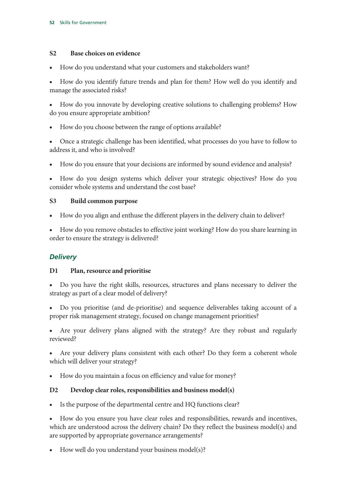#### **S2 Base choices on evidence**

• How do you understand what your customers and stakeholders want?

• How do you identify future trends and plan for them? How well do you identify and manage the associated risks?

• How do you innovate by developing creative solutions to challenging problems? How do you ensure appropriate ambition?

• How do you choose between the range of options available?

• Once a strategic challenge has been identified, what processes do you have to follow to address it, and who is involved?

• How do you ensure that your decisions are informed by sound evidence and analysis?

• How do you design systems which deliver your strategic objectives? How do you consider whole systems and understand the cost base?

#### **S3 Build common purpose**

• How do you align and enthuse the different players in the delivery chain to deliver?

• How do you remove obstacles to effective joint working? How do you share learning in order to ensure the strategy is delivered?

#### *Delivery*

#### **D1 Plan, resource and prioritise**

• Do you have the right skills, resources, structures and plans necessary to deliver the strategy as part of a clear model of delivery?

• Do you prioritise (and de-prioritise) and sequence deliverables taking account of a proper risk management strategy, focused on change management priorities?

• Are your delivery plans aligned with the strategy? Are they robust and regularly reviewed?

Are your delivery plans consistent with each other? Do they form a coherent whole which will deliver your strategy?

• How do you maintain a focus on efficiency and value for money?

#### **D2 Develop clear roles, responsibilities and business model(s)**

Is the purpose of the departmental centre and HQ functions clear?

• How do you ensure you have clear roles and responsibilities, rewards and incentives, which are understood across the delivery chain? Do they reflect the business model(s) and are supported by appropriate governance arrangements?

• How well do you understand your business model(s)?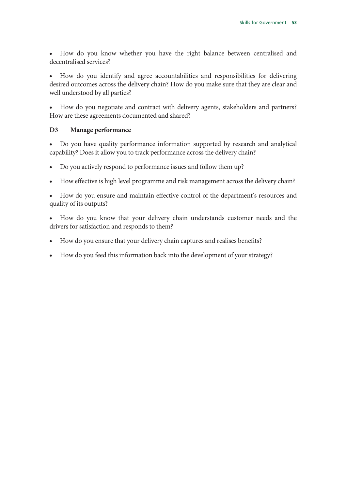• How do you know whether you have the right balance between centralised and decentralised services?

• How do you identify and agree accountabilities and responsibilities for delivering desired outcomes across the delivery chain? How do you make sure that they are clear and well understood by all parties?

• How do you negotiate and contract with delivery agents, stakeholders and partners? How are these agreements documented and shared?

#### **D3 Manage performance**

• Do you have quality performance information supported by research and analytical capability? Does it allow you to track performance across the delivery chain?

- Do you actively respond to performance issues and follow them up?
- How effective is high level programme and risk management across the delivery chain?

• How do you ensure and maintain effective control of the department's resources and quality of its outputs?

- How do you know that your delivery chain understands customer needs and the drivers for satisfaction and responds to them?
- How do you ensure that your delivery chain captures and realises benefits?
- How do you feed this information back into the development of your strategy?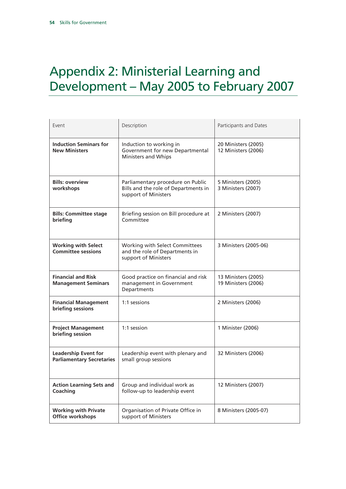# Appendix 2: Ministerial Learning and Development – May 2005 to February 2007

| Event                                                           | Description                                                                                       | Participants and Dates                     |
|-----------------------------------------------------------------|---------------------------------------------------------------------------------------------------|--------------------------------------------|
| <b>Induction Seminars for</b><br><b>New Ministers</b>           | Induction to working in<br>Government for new Departmental<br>Ministers and Whips                 | 20 Ministers (2005)<br>12 Ministers (2006) |
| <b>Bills: overview</b><br>workshops                             | Parliamentary procedure on Public<br>Bills and the role of Departments in<br>support of Ministers | 5 Ministers (2005)<br>3 Ministers (2007)   |
| <b>Bills: Committee stage</b><br>briefing                       | Briefing session on Bill procedure at<br>Committee                                                | 2 Ministers (2007)                         |
| <b>Working with Select</b><br><b>Committee sessions</b>         | Working with Select Committees<br>and the role of Departments in<br>support of Ministers          | 3 Ministers (2005-06)                      |
| <b>Financial and Risk</b><br><b>Management Seminars</b>         | Good practice on financial and risk<br>management in Government<br>Departments                    | 13 Ministers (2005)<br>19 Ministers (2006) |
| <b>Financial Management</b><br>briefing sessions                | 1:1 sessions                                                                                      | 2 Ministers (2006)                         |
| <b>Project Management</b><br>briefing session                   | 1:1 session                                                                                       | 1 Minister (2006)                          |
| <b>Leadership Event for</b><br><b>Parliamentary Secretaries</b> | Leadership event with plenary and<br>small group sessions                                         | 32 Ministers (2006)                        |
| <b>Action Learning Sets and</b><br>Coaching                     | Group and individual work as<br>follow-up to leadership event                                     | 12 Ministers (2007)                        |
| <b>Working with Private</b><br>Office workshops                 | Organisation of Private Office in<br>support of Ministers                                         | 8 Ministers (2005-07)                      |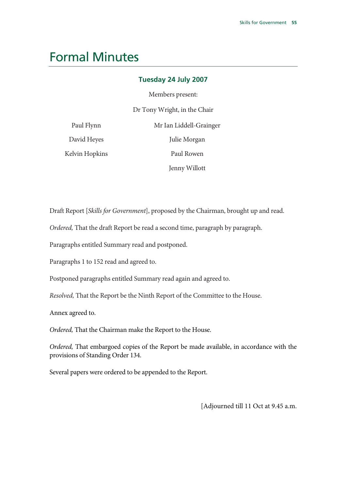### Formal Minutes

#### **Tuesday 24 July 2007**

Members present:

Dr Tony Wright, in the Chair

| Paul Flynn     | Mr Ian Liddell-Grainger |
|----------------|-------------------------|
| David Heyes    | Julie Morgan            |
| Kelvin Hopkins | Paul Rowen              |
|                | Jenny Willott           |

Draft Report [*Skills for Government*], proposed by the Chairman, brought up and read.

*Ordered,* That the draft Report be read a second time, paragraph by paragraph.

Paragraphs entitled Summary read and postponed.

Paragraphs 1 to 152 read and agreed to.

Postponed paragraphs entitled Summary read again and agreed to.

*Resolved,* That the Report be the Ninth Report of the Committee to the House.

Annex agreed to.

*Ordered,* That the Chairman make the Report to the House.

*Ordered,* That embargoed copies of the Report be made available, in accordance with the provisions of Standing Order 134.

Several papers were ordered to be appended to the Report.

[Adjourned till 11 Oct at 9.45 a.m.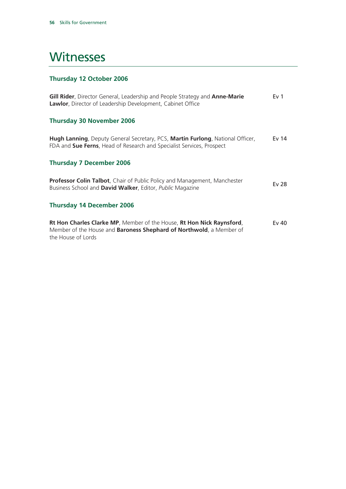### **Witnesses**

#### **Thursday 12 October 2006**

| Gill Rider, Director General, Leadership and People Strategy and Anne-Marie<br><b>Lawlor</b> , Director of Leadership Development, Cabinet Office                          | Ev <sub>1</sub> |
|----------------------------------------------------------------------------------------------------------------------------------------------------------------------------|-----------------|
| <b>Thursday 30 November 2006</b>                                                                                                                                           |                 |
| Hugh Lanning, Deputy General Secretary, PCS, Martin Furlong, National Officer,<br>FDA and Sue Ferns, Head of Research and Specialist Services, Prospect                    | Ev $14$         |
| <b>Thursday 7 December 2006</b>                                                                                                                                            |                 |
| <b>Professor Colin Talbot</b> , Chair of Public Policy and Management, Manchester<br>Business School and David Walker, Editor, Public Magazine                             | Ev 28           |
| <b>Thursday 14 December 2006</b>                                                                                                                                           |                 |
| Rt Hon Charles Clarke MP, Member of the House, Rt Hon Nick Raynsford,<br>Member of the House and <b>Baroness Shephard of Northwold</b> , a Member of<br>the House of Lords | Ev 40           |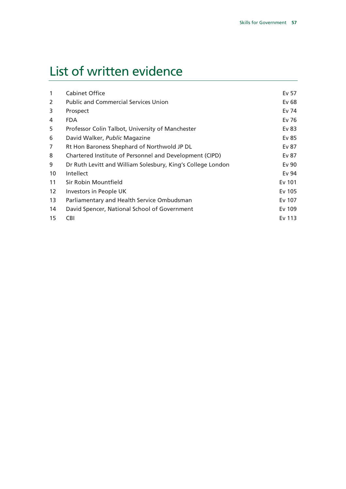# List of written evidence

| Cabinet Office                                              | Ev 57  |
|-------------------------------------------------------------|--------|
| <b>Public and Commercial Services Union</b>                 | Ev 68  |
| Prospect                                                    | Ev 74  |
| <b>FDA</b>                                                  | Ev 76  |
| Professor Colin Talbot, University of Manchester            | Ev 83  |
| David Walker, Public Magazine                               | Ev 85  |
| Rt Hon Baroness Shephard of Northwold JP DL                 | Ev 87  |
| Chartered Institute of Personnel and Development (CIPD)     | Ev 87  |
| Dr Ruth Levitt and William Solesbury, King's College London | Ev 90  |
| Intellect                                                   | Ev 94  |
| Sir Robin Mountfield                                        | Ev 101 |
| Investors in People UK                                      | Ev 105 |
| Parliamentary and Health Service Ombudsman                  | Ev 107 |
| David Spencer, National School of Government                | Ev 109 |
| <b>CBI</b>                                                  | Ev 113 |
|                                                             |        |